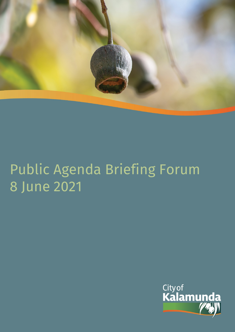

# Public Agenda Briefing Forum 8 June 2021

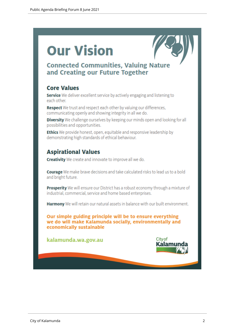# **Our Vision**



# **Connected Communities, Valuing Nature** and Creating our Future Together

# **Core Values**

Service We deliver excellent service by actively engaging and listening to each other.

Respect We trust and respect each other by valuing our differences, communicating openly and showing integrity in all we do.

Diversity We challenge ourselves by keeping our minds open and looking for all possibilities and opportunities.

**Ethics** We provide honest, open, equitable and responsive leadership by demonstrating high standards of ethical behaviour.

# **Aspirational Values**

**Creativity** We create and innovate to improve all we do.

**Courage** We make brave decisions and take calculated risks to lead us to a bold and bright future.

**Prosperity** We will ensure our District has a robust economy through a mixture of industrial, commercial, service and home based enterprises.

Harmony We will retain our natural assets in balance with our built environment.

Our simple guiding principle will be to ensure everything we do will make Kalamunda socially, environmentally and economically sustainable

kalamunda.wa.gov.au

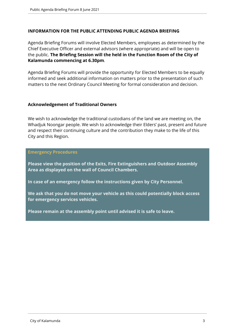# **INFORMATION FOR THE PUBLIC ATTENDING PUBLIC AGENDA BRIEFING**

Agenda Briefing Forums will involve Elected Members, employees as determined by the Chief Executive Officer and external advisors (where appropriate) and will be open to the public. **The Briefing Session will the held in the Function Room of the City of Kalamunda commencing at 6.30pm**.

Agenda Briefing Forums will provide the opportunity for Elected Members to be equally informed and seek additional information on matters prior to the presentation of such matters to the next Ordinary Council Meeting for formal consideration and decision.

# **Acknowledgement of Traditional Owners**

We wish to acknowledge the traditional custodians of the land we are meeting on, the Whadjuk Noongar people. We wish to acknowledge their Elders' past, present and future and respect their continuing culture and the contribution they make to the life of this City and this Region.

#### **Emergency Procedures**

**Please view the position of the Exits, Fire Extinguishers and Outdoor Assembly Area as displayed on the wall of Council Chambers.**

**In case of an emergency follow the instructions given by City Personnel.** 

**We ask that you do not move your vehicle as this could potentially block access for emergency services vehicles.** 

**Please remain at the assembly point until advised it is safe to leave.**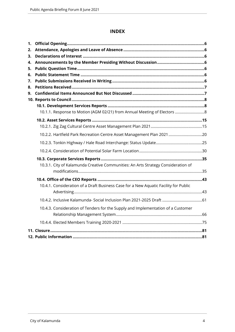# **INDEX**

| 1. |                                                                                      |  |
|----|--------------------------------------------------------------------------------------|--|
| 2. |                                                                                      |  |
| 3. |                                                                                      |  |
| 4. |                                                                                      |  |
| 5. |                                                                                      |  |
| 6. |                                                                                      |  |
| 7. |                                                                                      |  |
| 8. |                                                                                      |  |
| 9. |                                                                                      |  |
|    |                                                                                      |  |
|    |                                                                                      |  |
|    | 10.1.1. Response to Motion (AGM 02/21) from Annual Meeting of Electors  8            |  |
|    |                                                                                      |  |
|    |                                                                                      |  |
|    | 10.2.2. Hartfield Park Recreation Centre Asset Management Plan 2021 20               |  |
|    |                                                                                      |  |
|    |                                                                                      |  |
|    |                                                                                      |  |
|    | 10.3.1. City of Kalamunda Creative Communities: An Arts Strategy Consideration of    |  |
|    |                                                                                      |  |
|    |                                                                                      |  |
|    | 10.4.1. Consideration of a Draft Business Case for a New Aquatic Facility for Public |  |
|    |                                                                                      |  |
|    |                                                                                      |  |
|    | 10.4.3. Consideration of Tenders for the Supply and Implementation of a Customer     |  |
|    |                                                                                      |  |
|    |                                                                                      |  |
|    |                                                                                      |  |
|    |                                                                                      |  |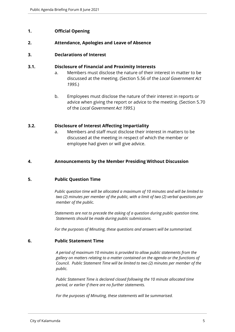# <span id="page-4-0"></span>**1. Official Opening**

#### <span id="page-4-1"></span>**2. Attendance, Apologies and Leave of Absence**

#### <span id="page-4-2"></span>**3. Declarations of Interest**

#### **3.1. Disclosure of Financial and Proximity Interests**

- a. Members must disclose the nature of their interest in matter to be discussed at the meeting. (Section 5.56 of the *Local Government Act 1995*.)
- b. Employees must disclose the nature of their interest in reports or advice when giving the report or advice to the meeting. (Section 5.70 of the *Local Government Act 1995*.)

#### **3.2. Disclosure of Interest Affecting Impartiality**

a. Members and staff must disclose their interest in matters to be discussed at the meeting in respect of which the member or employee had given or will give advice.

#### <span id="page-4-3"></span>**4. Announcements by the Member Presiding Without Discussion**

#### <span id="page-4-4"></span>**5. Public Question Time**

*Public question time will be allocated a maximum of 10 minutes and will be limited to two (2) minutes per member of the public, with a limit of two (2) verbal questions per member of the public.*

*Statements are not to precede the asking of a question during public question time. Statements should be made during public submissions.*

*For the purposes of Minuting, these questions and answers will be summarised.*

#### <span id="page-4-5"></span>**6. Public Statement Time**

*A period of maximum 10 minutes is provided to allow public statements from the gallery on matters relating to a matter contained on the agenda or the functions of Council. Public Statement Time will be limited to two (2) minutes per member of the public.*

*Public Statement Time is declared closed following the 10 minute allocated time period, or earlier if there are no further statements.* 

*For the purposes of Minuting, these statements will be summarised.*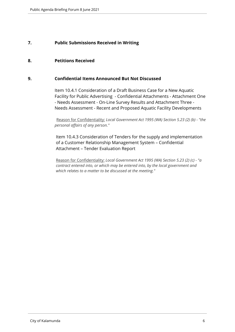# <span id="page-5-0"></span>**7. Public Submissions Received in Writing**

#### <span id="page-5-1"></span>**8. Petitions Received**

#### <span id="page-5-2"></span>**9. Confidential Items Announced But Not Discussed**

Item 10.4.1 Consideration of a Draft Business Case for a New Aquatic Facility for Public Advertising - Confidential Attachments - Attachment One - Needs Assessment - On-Line Survey Results and Attachment Three - Needs Assessment - Recent and Proposed Aquatic Facility Developments

Reason for Confidentiality: *Local Government Act 1995 (WA) Section 5.23 (2) (b) - "the personal affairs of any person."*

Item 10.4.3 Consideration of Tenders for the supply and implementation of a Customer Relationship Management System – Confidential Attachment – Tender Evaluation Report

Reason for Confidentiality: *Local Government Act 1995 (WA) Section 5.23 (2) (c) - "a contract entered into, or which may be entered into, by the local government and which relates to a matter to be discussed at the meeting."*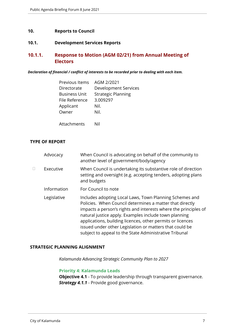#### <span id="page-6-0"></span>**10. Reports to Council**

# <span id="page-6-1"></span>**10.1. Development Services Reports**

# <span id="page-6-2"></span>**10.1.1. Response to Motion (AGM 02/21) from Annual Meeting of Electors**

#### *Declaration of financial / conflict of interests to be recorded prior to dealing with each item.*

| Previous Items       | AGM 2/2021                |
|----------------------|---------------------------|
| Directorate          | Development Services      |
| <b>Business Unit</b> | <b>Strategic Planning</b> |
| File Reference       | 3.009297                  |
| Applicant            | Nil.                      |
| Owner                | Nil.                      |
|                      |                           |
| Attachments          | Nil                       |

#### **TYPE OF REPORT**

|   | Advocacy    | When Council is advocating on behalf of the community to<br>another level of government/body/agency                                                                                                                                                                                                                                                                                                                                |
|---|-------------|------------------------------------------------------------------------------------------------------------------------------------------------------------------------------------------------------------------------------------------------------------------------------------------------------------------------------------------------------------------------------------------------------------------------------------|
| П | Executive   | When Council is undertaking its substantive role of direction<br>setting and oversight (e.g. accepting tenders, adopting plans<br>and budgets                                                                                                                                                                                                                                                                                      |
|   | Information | For Council to note                                                                                                                                                                                                                                                                                                                                                                                                                |
|   | Legislative | Includes adopting Local Laws, Town Planning Schemes and<br>Policies. When Council determines a matter that directly<br>impacts a person's rights and interests where the principles of<br>natural justice apply. Examples include town planning<br>applications, building licences, other permits or licences<br>issued under other Legislation or matters that could be<br>subject to appeal to the State Administrative Tribunal |

#### **STRATEGIC PLANNING ALIGNMENT**

*Kalamunda Advancing Strategic Community Plan to 2027*

#### **Priority 4: Kalamunda Leads**

**Objective 4.1** - To provide leadership through transparent governance. **Strategy 4.1.1** - Provide good governance.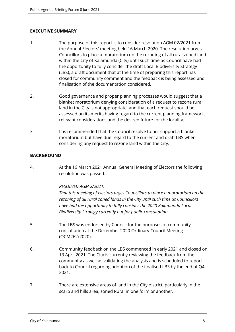# **EXECUTIVE SUMMARY**

- 1. The purpose of this report is to consider resolution AGM 02/2021 from the Annual Electors' meeting held 16 March 2020. The resolution urges Councillors to place a moratorium on the rezoning of all rural zoned land within the City of Kalamunda (City) until such time as Council have had the opportunity to fully consider the draft Local Biodiversity Strategy (LBS), a draft document that at the time of preparing this report has closed for community comment and the feedback is being assessed and finalisation of the documentation considered.
- 2. Good governance and proper planning processes would suggest that a blanket moratorium denying consideration of a request to rezone rural land in the City is not appropriate, and that each request should be assessed on its merits having regard to the current planning framework, relevant considerations and the desired future for the locality.
- 3. It is recommended that the Council resolve to not support a blanket moratorium but have due regard to the current and draft LBS when considering any request to rezone land within the City.

# **BACKGROUND**

4. At the 16 March 2021 Annual General Meeting of Electors the following resolution was passed:

# *RESOLVED AGM 2/2021:*

*That this meeting of electors urges Councillors to place a moratorium on the rezoning of all rural zoned lands in the City until such time as Councillors have had the opportunity to fully consider the 2020 Kalamunda Local Biodiversity Strategy currently out for public consultation.*

- 5. The LBS was endorsed by Council for the purposes of community consultation at the December 2020 Ordinary Council Meeting (OCM262/2020).
- 6. Community feedback on the LBS commenced in early 2021 and closed on 13 April 2021. The City is currently reviewing the feedback from the community as well as validating the analysis and is scheduled to report back to Council regarding adoption of the finalised LBS by the end of Q4 2021.
- 7. There are extensive areas of land in the City district, particularly in the scarp and hills area, zoned Rural in one form or another.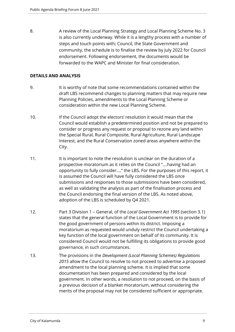8. A review of the Local Planning Strategy and Local Planning Scheme No. 3 is also currently underway. While it is a lengthy process with a number of steps and touch points with; Council, the State Government and community, the schedule is to finalise the review by July 2022 for Council endorsement. Following endorsement, the documents would be forwarded to the WAPC and Minister for final consideration.

#### **DETAILS AND ANALYSIS**

- 9. It is worthy of note that some recommendations contained within the draft LBS recommend changes to planning matters that may require new Planning Policies, amendments to the Local Planning Scheme or consideration within the new Local Planning Scheme.
- 10. If the Council adopt the electors' resolution it would mean that the Council would establish a predetermined position and not be prepared to consider or progress any request or proposal to rezone any land within the Special Rural, Rural Composite, Rural Agriculture, Rural Landscape Interest, and the Rural Conservation zoned areas anywhere within the City.
- 11. It is important to note the resolution is unclear on the duration of a prospective moratorium as it relies on the Council "….having had an opportunity to fully consider…." the LBS. For the purposes of this report, it is assumed the Council will have fully considered the LBS once submissions and responses to those submissions have been considered, as well as validating the analysis as part of the finalisation process and the Council endorsing the final version of the LBS. As noted above, adoption of the LBS is scheduled by Q4 2021.
- 12. Part 3 Division 1 General, of the *Local Government Act 1995* (section 3.1) states that the general function of the Local Government is to provide for the good government of persons within its district. Imposing a moratorium as requested would unduly restrict the Council undertaking a key function of the local government on behalf of its community. It is considered Council would not be fulfilling its obligations to provide good governance, in such circumstances.
- 13. The provisions in the *Development (Local Planning Schemes) Regulations 2015* allow the Council to resolve to not proceed to advertise a proposed amendment to the local planning scheme. It is implied that some documentation has been prepared and considered by the local government. In other words, a resolution to not proceed, on the basis of a previous decision of a blanket moratorium, without considering the merits of the proposal may not be considered sufficient or appropriate.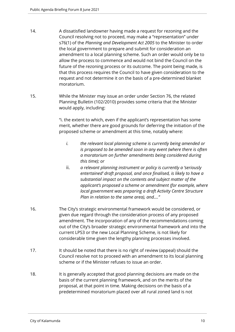- 14. A dissatisfied landowner having made a request for rezoning and the Council resolving not to proceed, may make a "representation" under s76(1) of the *Planning and Development Act 2005* to the Minister to order the local government to prepare and submit for consideration an amendment to a local planning scheme. Such an order would only be to allow the process to commence and would not bind the Council on the future of the rezoning process or its outcome. The point being made, is that this process requires the Council to have given consideration to the request and not determine it on the basis of a pre-determined blanket moratorium.
- 15. While the Minister may issue an order under Section 76, the related Planning Bulletin (102/2010) provides some criteria that the Minister would apply, including:

"i. the extent to which, even if the applicant's representation has some merit, whether there are good grounds for deferring the initiation of the proposed scheme or amendment at this time, notably where:

- *i. the relevant local planning scheme is currently being amended or is proposed to be amended soon in any event (where there is often a moratorium on further amendments being considered during this time); or*
- ii. *a relevant planning instrument or policy is currently a 'seriously entertained' draft proposal, and once finalised, is likely to have a substantial impact on the contents and subject matter of the applicant's proposed a scheme or amendment (for example, where local government was preparing a draft Activity Centre Structure Plan in relation to the same area), and…."*
- 16. The City's strategic environmental framework would be considered, or given due regard through the consideration process of any proposed amendment. The incorporation of any of the recommendations coming out of the City's broader strategic environmental framework and into the current LPS3 or the new Local Planning Scheme, is not likely for considerable time given the lengthy planning processes involved.
- 17. It should be noted that there is no right of review (appeal) should the Council resolve not to proceed with an amendment to its local planning scheme or if the Minister refuses to issue an order.
- 18. It is generally accepted that good planning decisions are made on the basis of the current planning framework, and on the merits of the proposal, at that point in time. Making decisions on the basis of a predetermined moratorium placed over all rural zoned land is not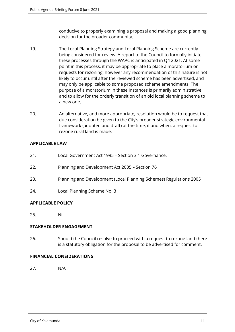conducive to properly examining a proposal and making a good planning decision for the broader community.

- 19. The Local Planning Strategy and Local Planning Scheme are currently being considered for review. A report to the Council to formally initiate these processes through the WAPC is anticipated in Q4 2021. At some point in this process, it may be appropriate to place a moratorium on requests for rezoning, however any recommendation of this nature is not likely to occur until after the reviewed scheme has been advertised, and may only be applicable to some proposed scheme amendments. The purpose of a moratorium in these instances is primarily administrative and to allow for the orderly transition of an old local planning scheme to a new one.
- 20. An alternative, and more appropriate, resolution would be to request that due consideration be given to the City's broader strategic environmental framework (adopted and draft) at the time, if and when, a request to rezone rural land is made.

# **APPLICABLE LAW**

- 21. Local Government Act 1995 Section 3.1 Governance.
- 22. Planning and Development Act 2005 Section 76
- 23. Planning and Development (Local Planning Schemes) Regulations 2005
- 24. Local Planning Scheme No. 3

# **APPLICABLE POLICY**

25. Nil.

# **STAKEHOLDER ENGAGEMENT**

26. Should the Council resolve to proceed with a request to rezone land there is a statutory obligation for the proposal to be advertised for comment.

# **FINANCIAL CONSIDERATIONS**

27. N/A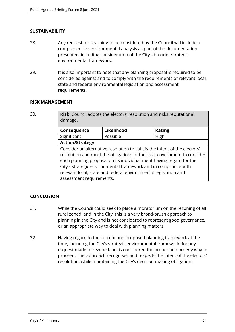# **SUSTAINABILITY**

- 28. Any request for rezoning to be considered by the Council will include a comprehensive environmental analysis as part of the documentation presented, including consideration of the City's broader strategic environmental framework.
- 29. It is also important to note that any planning proposal is required to be considered against and to comply with the requirements of relevant local, state and federal environmental legislation and assessment requirements.

#### **RISK MANAGEMENT**

30. **Risk**: Council adopts the electors' resolution and risks reputational damage.

| Consequence                                                               | Likelihood | <b>Rating</b> |
|---------------------------------------------------------------------------|------------|---------------|
| Significant                                                               | Possible   | High          |
| <b>Action/Strategy</b>                                                    |            |               |
| Consider an alternative resolution to satisfy the intent of the electors' |            |               |
| resolution and meet the obligations of the local government to consider   |            |               |
| each planning proposal on its individual merit having regard for the      |            |               |

City's strategic environmental framework and in compliance with relevant local, state and federal environmental legislation and assessment requirements.

# **CONCLUSION**

- 31. While the Council could seek to place a moratorium on the rezoning of all rural zoned land in the City, this is a very broad-brush approach to planning in the City and is not considered to represent good governance, or an appropriate way to deal with planning matters.
- 32. Having regard to the current and proposed planning framework at the time, including the City's strategic environmental framework, for any request made to rezone land, is considered the proper and orderly way to proceed. This approach recognises and respects the intent of the electors' resolution, while maintaining the City's decision-making obligations.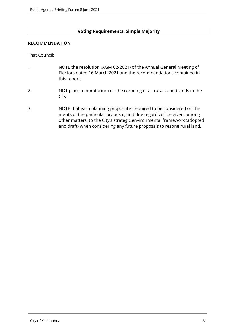#### **Voting Requirements: Simple Majority**

#### **RECOMMENDATION**

That Council:

- 1. NOTE the resolution (AGM 02/2021) of the Annual General Meeting of Electors dated 16 March 2021 and the recommendations contained in this report.
- 2. NOT place a moratorium on the rezoning of all rural zoned lands in the City.
- 3. NOTE that each planning proposal is required to be considered on the merits of the particular proposal, and due regard will be given, among other matters, to the City's strategic environmental framework (adopted and draft) when considering any future proposals to rezone rural land.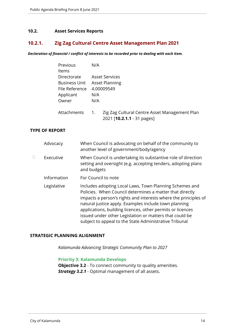#### <span id="page-13-0"></span>**10.2. Asset Services Reports**

# <span id="page-13-1"></span>**10.2.1. Zig Zag Cultural Centre Asset Management Plan 2021**

*Declaration of financial / conflict of interests to be recorded prior to dealing with each item.*

| Previous       | N/A                          |                                                                                     |  |
|----------------|------------------------------|-------------------------------------------------------------------------------------|--|
| Items          |                              |                                                                                     |  |
| Directorate    | <b>Asset Services</b>        |                                                                                     |  |
|                | Business Unit Asset Planning |                                                                                     |  |
| File Reference |                              | 4.00009549                                                                          |  |
| Applicant      | N/A                          |                                                                                     |  |
| Owner          | N/A                          |                                                                                     |  |
| Attachments    | 1.                           | Zig Zag Cultural Centre Asset Management Plan<br>2021 [ <b>10.2.1.1</b> - 31 pages] |  |

#### **TYPE OF REPORT**

|   | Advocacy    | When Council is advocating on behalf of the community to<br>another level of government/body/agency                                                                                                                                                                                                                                                                                                                                |
|---|-------------|------------------------------------------------------------------------------------------------------------------------------------------------------------------------------------------------------------------------------------------------------------------------------------------------------------------------------------------------------------------------------------------------------------------------------------|
| П | Executive   | When Council is undertaking its substantive role of direction<br>setting and oversight (e.g. accepting tenders, adopting plans<br>and budgets                                                                                                                                                                                                                                                                                      |
|   | Information | For Council to note                                                                                                                                                                                                                                                                                                                                                                                                                |
|   | Legislative | Includes adopting Local Laws, Town Planning Schemes and<br>Policies. When Council determines a matter that directly<br>impacts a person's rights and interests where the principles of<br>natural justice apply. Examples include town planning<br>applications, building licences, other permits or licences<br>issued under other Legislation or matters that could be<br>subject to appeal to the State Administrative Tribunal |

# **STRATEGIC PLANNING ALIGNMENT**

*Kalamunda Advancing Strategic Community Plan to 2027*

#### **Priority 3: Kalamunda Develops**

**Objective 3.2** - To connect community to quality amenities. *Strategy 3.2.1* - Optimal management of all assets.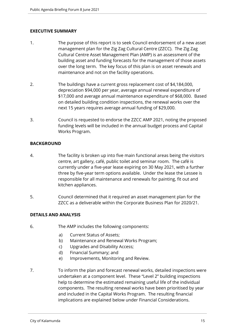# **EXECUTIVE SUMMARY**

- 1. The purpose of this report is to seek Council endorsement of a new asset management plan for the Zig Zag Cultural Centre (ZZCC). The Zig Zag Cultural Centre Asset Management Plan (AMP) is an assessment of the building asset and funding forecasts for the management of those assets over the long term. The key focus of this plan is on asset renewals and maintenance and not on the facility operations.
- 2. The buildings have a current gross replacement cost of \$4,184,000, depreciation \$94,000 per year, average annual renewal expenditure of \$17,000 and average annual maintenance expenditure of \$68,000. Based on detailed building condition inspections, the renewal works over the next 15 years requires average annual funding of \$29,000.
- 3. Council is requested to endorse the ZZCC AMP 2021, noting the proposed funding levels will be included in the annual budget process and Capital Works Program.

# **BACKGROUND**

- 4. The facility is broken up into five main functional areas being the visitors centre, art gallery, café, public toilet and seminar room. The café is currently under a five-year lease expiring on 30 May 2021, with a further three by five-year term options available. Under the lease the Lessee is responsible for all maintenance and renewals for painting, fit out and kitchen appliances.
- 5. Council determined that it required an asset management plan for the ZZCC as a deliverable within the Corporate Business Plan for 2020/21.

# **DETAILS AND ANALYSIS**

- 6. The AMP includes the following components:
	- a) Current Status of Assets;
	- b) Maintenance and Renewal Works Program;
	- c) Upgrades and Disability Access;
	- d) Financial Summary; and
	- e) Improvements, Monitoring and Review.
- 7. To inform the plan and forecast renewal works, detailed inspections were undertaken at a component level. These "Level 2" building inspections help to determine the estimated remaining useful life of the individual components. The resulting renewal works have been prioritised by year and included in the Capital Works Program. The resulting financial implications are explained below under Financial Considerations.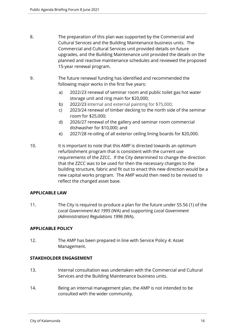- 8. The preparation of this plan was supported by the Commercial and Cultural Services and the Building Maintenance business units. The Commercial and Cultural Services unit provided details on future upgrades, and the Building Maintenance unit provided the details on the planned and reactive maintenance schedules and reviewed the proposed 15-year renewal program.
- 9. The future renewal funding has identified and recommended the following major works in the first five years:
	- a) 2022/23 renewal of seminar room and public toilet gas hot water storage unit and ring main for \$20,000;
	- b) 2022/23 internal and external painting for \$75,000;
	- c) 2023/24 renewal of timber decking to the north side of the seminar room for \$25,000;
	- d) 2026/27 renewal of the gallery and seminar room commercial dishwasher for \$10,000; and
	- e) 2027/28 re-oiling of all exterior ceiling lining boards for \$20,000.
- 10. It is important to note that this AMP is directed towards an optimum refurbishment program that is consistent with the current use requirements of the ZZCC. If the City determined to change the direction that the ZZCC was to be used for then the necessary changes to the building structure, fabric and fit out to enact this new direction would be a new capital works program. The AMP would then need to be revised to reflect the changed asset base.

# **APPLICABLE LAW**

11. The City is required to produce a plan for the future under S5.56 (1) of the *Local Government Act 1995* (WA) and supporting *Local Government (Administration) Regulations 1996* (WA).

# **APPLICABLE POLICY**

12. The AMP has been prepared in line with Service Policy 4: Asset Management.

# **STAKEHOLDER ENGAGEMENT**

- 13. Internal consultation was undertaken with the Commercial and Cultural Services and the Building Maintenance business units.
- 14. Being an internal management plan, the AMP is not intended to be consulted with the wider community.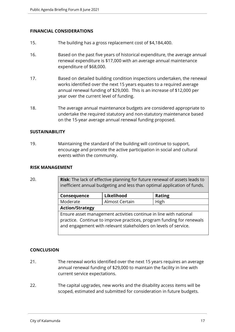# **FINANCIAL CONSIDERATIONS**

- 15. The building has a gross replacement cost of \$4,184,400.
- 16. Based on the past five years of historical expenditure, the average annual renewal expenditure is \$17,000 with an average annual maintenance expenditure of \$68,000.
- 17. Based on detailed building condition inspections undertaken, the renewal works identified over the next 15 years equates to a required average annual renewal funding of \$29,000. This is an increase of \$12,000 per year over the current level of funding.
- 18. The average annual maintenance budgets are considered appropriate to undertake the required statutory and non-statutory maintenance based on the 15-year average annual renewal funding proposed.

# **SUSTAINABILITY**

19. Maintaining the standard of the building will continue to support, encourage and promote the active participation in social and cultural events within the community.

#### **RISK MANAGEMENT**

20. **Risk**: The lack of effective planning for future renewal of assets leads to inefficient annual budgeting and less than optimal application of funds.

| Consequence                                                                                                                                                                                                   | Likelihood     | <b>Rating</b> |
|---------------------------------------------------------------------------------------------------------------------------------------------------------------------------------------------------------------|----------------|---------------|
| Moderate                                                                                                                                                                                                      | Almost Certain | High          |
| <b>Action/Strategy</b>                                                                                                                                                                                        |                |               |
| Ensure asset management activities continue in line with national<br>practice. Continue to improve practices, program funding for renewals<br>and engagement with relevant stakeholders on levels of service. |                |               |

# **CONCLUSION**

- 21. The renewal works identified over the next 15 years requires an average annual renewal funding of \$29,000 to maintain the facility in line with current service expectations.
- 22. The capital upgrades, new works and the disability access items will be scoped, estimated and submitted for consideration in future budgets.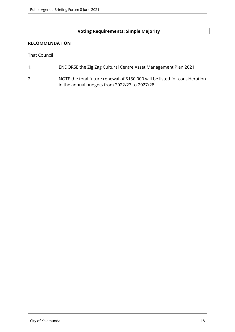# **Voting Requirements: Simple Majority**

#### **RECOMMENDATION**

That Council

- 1. ENDORSE the Zig Zag Cultural Centre Asset Management Plan 2021.
- 2. NOTE the total future renewal of \$150,000 will be listed for consideration in the annual budgets from 2022/23 to 2027/28.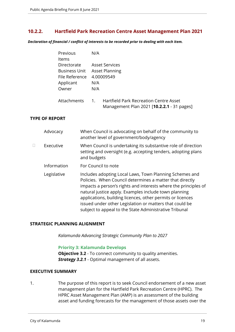# <span id="page-18-0"></span>**10.2.2. Hartfield Park Recreation Centre Asset Management Plan 2021**

*Declaration of financial / conflict of interests to be recorded prior to dealing with each item.*

| Previous             | N/A                                                      |
|----------------------|----------------------------------------------------------|
| <b>Items</b>         |                                                          |
| Directorate          | <b>Asset Services</b>                                    |
| <b>Business Unit</b> | <b>Asset Planning</b>                                    |
| File Reference       | 4.00009549                                               |
| Applicant            | N/A                                                      |
| Owner                | N/A                                                      |
|                      |                                                          |
| Attachments          | <b>Hartfield Park Recreation Centre Asset</b><br>$1_{-}$ |
|                      | Management Plan 2021 [10.2.2.1 - 31 pages]               |

# **TYPE OF REPORT**

|   | Advocacy    | When Council is advocating on behalf of the community to<br>another level of government/body/agency                                                                                                                                                                                                                                                                                                                                |
|---|-------------|------------------------------------------------------------------------------------------------------------------------------------------------------------------------------------------------------------------------------------------------------------------------------------------------------------------------------------------------------------------------------------------------------------------------------------|
| П | Executive   | When Council is undertaking its substantive role of direction<br>setting and oversight (e.g. accepting tenders, adopting plans<br>and budgets                                                                                                                                                                                                                                                                                      |
|   | Information | For Council to note                                                                                                                                                                                                                                                                                                                                                                                                                |
|   | Legislative | Includes adopting Local Laws, Town Planning Schemes and<br>Policies. When Council determines a matter that directly<br>impacts a person's rights and interests where the principles of<br>natural justice apply. Examples include town planning<br>applications, building licences, other permits or licences<br>issued under other Legislation or matters that could be<br>subject to appeal to the State Administrative Tribunal |

# **STRATEGIC PLANNING ALIGNMENT**

*Kalamunda Advancing Strategic Community Plan to 2027*

#### **Priority 3: Kalamunda Develops**

**Objective 3.2** - To connect community to quality amenities. *Strategy 3.2.1* - Optimal management of all assets.

#### **EXECUTIVE SUMMARY**

1. The purpose of this report is to seek Council endorsement of a new asset management plan for the Hartfield Park Recreation Centre (HPRC). The HPRC Asset Management Plan (AMP) is an assessment of the building asset and funding forecasts for the management of those assets over the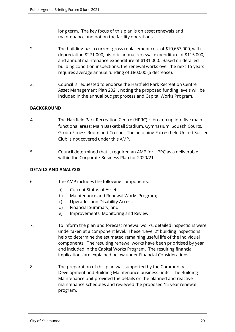long term. The key focus of this plan is on asset renewals and maintenance and not on the facility operations.

- 2. The building has a current gross replacement cost of \$10,657,000, with depreciation \$271,000, historic annual renewal expenditure of \$115,000, and annual maintenance expenditure of \$131,000. Based on detailed building condition inspections, the renewal works over the next 15 years requires average annual funding of \$80,000 (a decrease).
- 3. Council is requested to endorse the Hartfield Park Recreation Centre Asset Management Plan 2021, noting the proposed funding levels will be included in the annual budget process and Capital Works Program.

# **BACKGROUND**

- 4. The Hartfield Park Recreation Centre (HPRC) is broken up into five main functional areas: Main Basketball Stadium, Gymnasium, Squash Courts, Group Fitness Room and Creche. The adjoining Forrestfield United Soccer Club is not covered under this AMP.
- 5. Council determined that it required an AMP for HPRC as a deliverable within the Corporate Business Plan for 2020/21.

# **DETAILS AND ANALYSIS**

- 6. The AMP includes the following components:
	- a) Current Status of Assets;
	- b) Maintenance and Renewal Works Program;
	- c) Upgrades and Disability Access;
	- d) Financial Summary; and
	- e) Improvements, Monitoring and Review.
- 7. To inform the plan and forecast renewal works, detailed inspections were undertaken at a component level. These "Level 2" building inspections help to determine the estimated remaining useful life of the individual components. The resulting renewal works have been prioritised by year and included in the Capital Works Program. The resulting financial implications are explained below under Financial Considerations.
- 8. The preparation of this plan was supported by the Community Development and Building Maintenance business units. The Building Maintenance unit provided the details on the planned and reactive maintenance schedules and reviewed the proposed 15-year renewal program.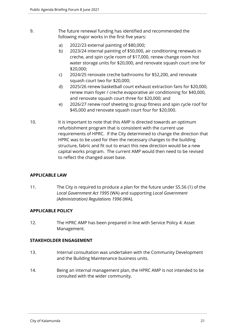- 9. The future renewal funding has identified and recommended the following major works in the first five years:
	- a) 2022/23 external painting of \$80,000;
	- b) 2023/24 internal painting of \$50,000, air conditioning renewals in creche, and spin cycle room of \$17,000, renew change room hot water storage units for \$20,000, and renovate squash court one for \$20,000;
	- c) 2024/25 renovate creche bathrooms for \$52,200, and renovate squash court two for \$20,000;
	- d) 2025/26 renew basketball court exhaust extraction fans for \$20,000, renew main foyer / creche evaporative air conditioning for \$40,000, and renovate squash court three for \$20,000; and
	- e) 2026/27 renew roof sheeting to group fitness and spin cycle roof for \$45,000 and renovate squash court four for \$20,000.
- 10. It is important to note that this AMP is directed towards an optimum refurbishment program that is consistent with the current use requirements of HPRC. If the City determined to change the direction that HPRC was to be used for then the necessary changes to the building structure, fabric and fit out to enact this new direction would be a new capital works program. The current AMP would then need to be revised to reflect the changed asset base.

# **APPLICABLE LAW**

11. The City is required to produce a plan for the future under S5.56 (1) of the *Local Government Act 1995* (WA) and supporting *Local Government (Administration) Regulations 1996* (WA).

# **APPLICABLE POLICY**

12. The HPRC AMP has been prepared in line with Service Policy 4: Asset Management.

# **STAKEHOLDER ENGAGEMENT**

- 13. Internal consultation was undertaken with the Community Development and the Building Maintenance business units.
- 14. Being an internal management plan, the HPRC AMP is not intended to be consulted with the wider community.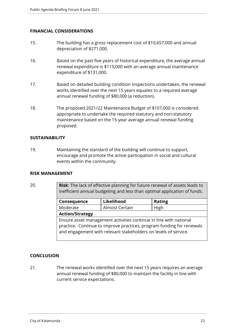# **FINANCIAL CONSIDERATIONS**

- 15. The building has a gross replacement cost of \$10,657,000 and annual depreciation of \$271,000.
- 16. Based on the past five years of historical expenditure, the average annual renewal expenditure is \$115,000 with an average annual maintenance expenditure of \$131,000.
- 17. Based on detailed building condition inspections undertaken, the renewal works identified over the next 15 years equates to a required average annual renewal funding of \$80,000 (a reduction).
- 18. The proposed 2021/22 Maintenance Budget of \$107,000 is considered appropriate to undertake the required statutory and non-statutory maintenance based on the 15-year average annual renewal funding proposed.

#### **SUSTAINABILITY**

19. Maintaining the standard of the building will continue to support, encourage and promote the active participation in social and cultural events within the community.

#### **RISK MANAGEMENT**

20. **Risk**: The lack of effective planning for future renewal of assets leads to inefficient annual budgeting and less than optimal application of funds.

| Consequence            | Likelihood                                                                                                                           | <b>Rating</b>                                                         |
|------------------------|--------------------------------------------------------------------------------------------------------------------------------------|-----------------------------------------------------------------------|
| Moderate               | Almost Certain                                                                                                                       | High                                                                  |
| <b>Action/Strategy</b> |                                                                                                                                      |                                                                       |
|                        | Ensure asset management activities continue in line with national<br>and engagement with relevant stakeholders on levels of service. | practice. Continue to improve practices, program funding for renewals |

# **CONCLUSION**

21. The renewal works identified over the next 15 years requires an average annual renewal funding of \$80,000 to maintain the facility in line with current service expectations.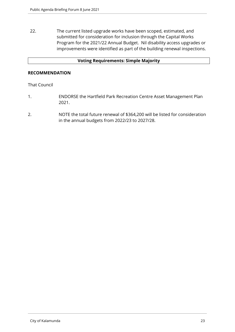22. The current listed upgrade works have been scoped, estimated, and submitted for consideration for inclusion through the Capital Works Program for the 2021/22 Annual Budget. Nil disability access upgrades or improvements were identified as part of the building renewal inspections.

#### **Voting Requirements: Simple Majority**

#### **RECOMMENDATION**

#### That Council

- 1. ENDORSE the Hartfield Park Recreation Centre Asset Management Plan 2021.
- 2. NOTE the total future renewal of \$364,200 will be listed for consideration in the annual budgets from 2022/23 to 2027/28.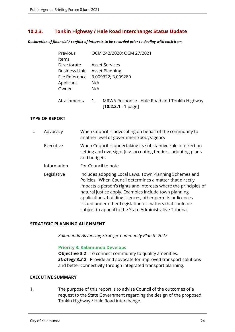# <span id="page-23-0"></span>**10.2.3. Tonkin Highway / Hale Road Interchange: Status Update**

*Declaration of financial / conflict of interests to be recorded prior to dealing with each item.*

| Previous             | OCM 242/2020; OCM 27/2021                                                                 |
|----------------------|-------------------------------------------------------------------------------------------|
| Items                |                                                                                           |
| Directorate          | <b>Asset Services</b>                                                                     |
| <b>Business Unit</b> | <b>Asset Planning</b>                                                                     |
| File Reference       | 3.009322; 3.009280                                                                        |
| Applicant            | N/A                                                                                       |
| Owner                | N/A                                                                                       |
| Attachments          | MRWA Response - Hale Road and Tonkin Highway<br>$\overline{1}$ .<br>$[10.2.3.1 - 1$ page] |

# **TYPE OF REPORT**

| Advocacy    | When Council is advocating on behalf of the community to<br>another level of government/body/agency                                                                                                                                                                                                                                                                                                                                |
|-------------|------------------------------------------------------------------------------------------------------------------------------------------------------------------------------------------------------------------------------------------------------------------------------------------------------------------------------------------------------------------------------------------------------------------------------------|
| Executive   | When Council is undertaking its substantive role of direction<br>setting and oversight (e.g. accepting tenders, adopting plans<br>and budgets                                                                                                                                                                                                                                                                                      |
| Information | For Council to note                                                                                                                                                                                                                                                                                                                                                                                                                |
| Legislative | Includes adopting Local Laws, Town Planning Schemes and<br>Policies. When Council determines a matter that directly<br>impacts a person's rights and interests where the principles of<br>natural justice apply. Examples include town planning<br>applications, building licences, other permits or licences<br>issued under other Legislation or matters that could be<br>subject to appeal to the State Administrative Tribunal |

#### **STRATEGIC PLANNING ALIGNMENT**

*Kalamunda Advancing Strategic Community Plan to 2027*

#### **Priority 3: Kalamunda Develops**

**Objective 3.2** - To connect community to quality amenities. *Strategy 3.2.2* - Provide and advocate for improved transport solutions and better connectivity through integrated transport planning.

#### **EXECUTIVE SUMMARY**

1. The purpose of this report is to advise Council of the outcomes of a request to the State Government regarding the design of the proposed Tonkin Highway / Hale Road interchange.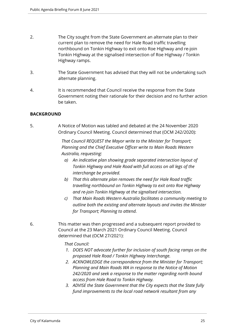- 2. The City sought from the State Government an alternate plan to their current plan to remove the need for Hale Road traffic travelling northbound on Tonkin Highway to exit onto Roe Highway and re-join Tonkin Highway at the signalised intersection of Roe Highway / Tonkin Highway ramps.
- 3. The State Government has advised that they will not be undertaking such alternate planning.
- 4. It is recommended that Council receive the response from the State Government noting their rationale for their decision and no further action be taken.

# **BACKGROUND**

5. A Notice of Motion was tabled and debated at the 24 November 2020 Ordinary Council Meeting. Council determined that (OCM 242/2020):

> *That Council REQUEST the Mayor write to the Minister for Transport; Planning and the Chief Executive Officer write to Main Roads Western Australia, requesting:*

- *a) An indicative plan showing grade separated intersection layout of Tonkin Highway and Hale Road with full access on all legs of the interchange be provided.*
- *b) That this alternate plan removes the need for Hale Road traffic travelling northbound on Tonkin Highway to exit onto Roe Highway and re-join Tonkin Highway at the signalised intersection.*
- *c) That Main Roads Western Australia facilitates a community meeting to outline both the existing and alternate layouts and invites the Minister for Transport; Planning to attend.*
- 6. This matter was then progressed and a subsequent report provided to Council at the 23 March 2021 Ordinary Council Meeting. Council determined that (OCM 27/2021):

# *That Council:*

- *1. DOES NOT advocate further for inclusion of south facing ramps on the proposed Hale Road / Tonkin Highway Interchange.*
- *2. ACKNOWLEDGE the correspondence from the Minister for Transport; Planning and Main Roads WA in response to the Notice of Motion 242/2020 and seek a response to the matter regarding north bound access from Hale Road to Tonkin Highway.*
- *3. ADVISE the State Government that the City expects that the State fully fund improvements to the local road network resultant from any*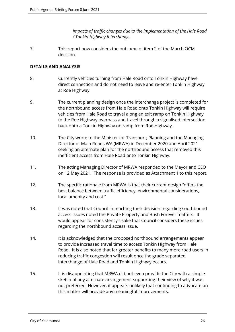*impacts of traffic changes due to the implementation of the Hale Road / Tonkin Highway Interchange.*

7. This report now considers the outcome of item 2 of the March OCM decision.

#### **DETAILS AND ANALYSIS**

- 8. Currently vehicles turning from Hale Road onto Tonkin Highway have direct connection and do not need to leave and re-enter Tonkin Highway at Roe Highway.
- 9. The current planning design once the interchange project is completed for the northbound access from Hale Road onto Tonkin Highway will require vehicles from Hale Road to travel along an exit ramp on Tonkin Highway to the Roe Highway overpass and travel through a signalised intersection back onto a Tonkin Highway on ramp from Roe Highway.
- 10. The City wrote to the Minister for Transport; Planning and the Managing Director of Main Roads WA (MRWA) in December 2020 and April 2021 seeking an alternate plan for the northbound access that removed this inefficient access from Hale Road onto Tonkin Highway.
- 11. The acting Managing Director of MRWA responded to the Mayor and CEO on 12 May 2021. The response is provided as Attachment 1 to this report.
- 12. The specific rationale from MRWA is that their current design "offers the best balance between traffic efficiency, environmental considerations, local amenity and cost."
- 13. It was noted that Council in reaching their decision regarding southbound access issues noted the Private Property and Bush Forever matters. It would appear for consistency's sake that Council considers these issues regarding the northbound access issue.
- 14. It is acknowledged that the proposed northbound arrangements appear to provide increased travel time to access Tonkin Highway from Hale Road. It is also noted that far greater benefits to many more road users in reducing traffic congestion will result once the grade separated interchange of Hale Road and Tonkin Highway occurs.
- 15. It is disappointing that MRWA did not even provide the City with a simple sketch of any alternate arrangement supporting their view of why it was not preferred. However, it appears unlikely that continuing to advocate on this matter will provide any meaningful improvements.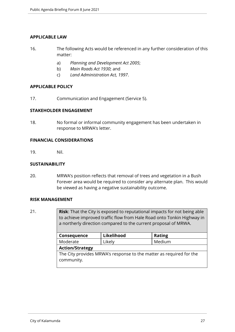# **APPLICABLE LAW**

- 16. The following Acts would be referenced in any further consideration of this matter:
	- a) *Planning and Development Act 2005*;
	- b) *Main Roads Act 1930*; and
	- c) *Land Administration Act, 1997*.

#### **APPLICABLE POLICY**

17. Communication and Engagement (Service 5).

# **STAKEHOLDER ENGAGEMENT**

18. No formal or informal community engagement has been undertaken in response to MRWA's letter.

# **FINANCIAL CONSIDERATIONS**

19. Nil.

#### **SUSTAINABILITY**

20. MRWA's position reflects that removal of trees and vegetation in a Bush Forever area would be required to consider any alternate plan. This would be viewed as having a negative sustainability outcome.

#### **RISK MANAGEMENT**

21. **Risk**: That the City is exposed to reputational impacts for not being able to achieve improved traffic flow from Hale Road onto Tonkin Highway in a northerly direction compared to the current proposal of MRWA.

| Consequence                                                                       | Likelihood | <b>Rating</b> |
|-----------------------------------------------------------------------------------|------------|---------------|
| Moderate                                                                          | Likely     | Medium        |
| <b>Action/Strategy</b>                                                            |            |               |
| The City provides MRWA's response to the matter as required for the<br>community. |            |               |
|                                                                                   |            |               |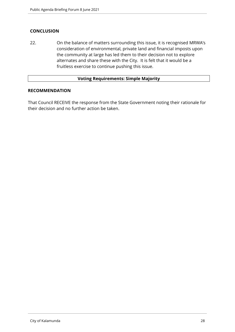# **CONCLUSION**

22. On the balance of matters surrounding this issue, it is recognised MRWA's consideration of environmental, private land and financial imposts upon the community at large has led them to their decision not to explore alternates and share these with the City. It is felt that it would be a fruitless exercise to continue pushing this issue.

#### **Voting Requirements: Simple Majority**

#### **RECOMMENDATION**

That Council RECEIVE the response from the State Government noting their rationale for their decision and no further action be taken.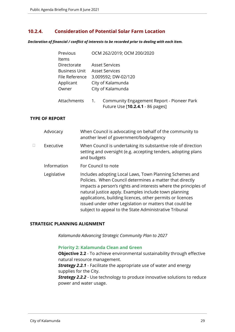# <span id="page-28-0"></span>**10.2.4. Consideration of Potential Solar Farm Location**

*Declaration of financial / conflict of interests to be recorded prior to dealing with each item.*

| Previous             | OCM 262/2019; OCM 200/2020                                                                         |
|----------------------|----------------------------------------------------------------------------------------------------|
| <b>Items</b>         |                                                                                                    |
| Directorate          | <b>Asset Services</b>                                                                              |
| <b>Business Unit</b> | <b>Asset Services</b>                                                                              |
| File Reference       | 3.009592; DW-02/120                                                                                |
| Applicant            | City of Kalamunda                                                                                  |
| Owner                | City of Kalamunda                                                                                  |
| Attachments          | Community Engagement Report - Pioneer Park<br>$\overline{1}$ .<br>Future Use [10.2.4.1 - 86 pages] |

# **TYPE OF REPORT**

|   | Advocacy    | When Council is advocating on behalf of the community to<br>another level of government/body/agency                                                                                                                                                                                                                                                                                                                                |
|---|-------------|------------------------------------------------------------------------------------------------------------------------------------------------------------------------------------------------------------------------------------------------------------------------------------------------------------------------------------------------------------------------------------------------------------------------------------|
| П | Executive   | When Council is undertaking its substantive role of direction<br>setting and oversight (e.g. accepting tenders, adopting plans<br>and budgets                                                                                                                                                                                                                                                                                      |
|   | Information | For Council to note                                                                                                                                                                                                                                                                                                                                                                                                                |
|   | Legislative | Includes adopting Local Laws, Town Planning Schemes and<br>Policies. When Council determines a matter that directly<br>impacts a person's rights and interests where the principles of<br>natural justice apply. Examples include town planning<br>applications, building licences, other permits or licences<br>issued under other Legislation or matters that could be<br>subject to appeal to the State Administrative Tribunal |

#### **STRATEGIC PLANNING ALIGNMENT**

*Kalamunda Advancing Strategic Community Plan to 2027*

#### **Priority 2: Kalamunda Clean and Green**

**Objective 2.2** - To achieve environmental sustainability through effective natural resource management.

*Strategy 2.2.1* - Facilitate the appropriate use of water and energy supplies for the City.

**Strategy 2.2.2** - Use technology to produce innovative solutions to reduce power and water usage.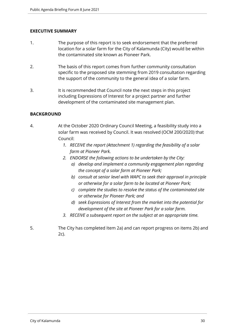# **EXECUTIVE SUMMARY**

- 1. The purpose of this report is to seek endorsement that the preferred location for a solar farm for the City of Kalamunda (City) would be within the contaminated site known as Pioneer Park.
- 2. The basis of this report comes from further community consultation specific to the proposed site stemming from 2019 consultation regarding the support of the community to the general idea of a solar farm.
- 3. It is recommended that Council note the next steps in this project including Expressions of Interest for a project partner and further development of the contaminated site management plan.

#### **BACKGROUND**

- 4. At the October 2020 Ordinary Council Meeting, a feasibility study into a solar farm was received by Council. It was resolved (OCM 200/2020) that Council:
	- *1. RECEIVE the report (Attachment 1) regarding the feasibility of a solar farm at Pioneer Park.*
	- *2. ENDORSE the following actions to be undertaken by the City:* 
		- *a) develop and implement a community engagement plan regarding the concept of a solar farm at Pioneer Park;*
		- *b) consult at senior level with WAPC to seek their approval in principle or otherwise for a solar farm to be located at Pioneer Park;*
		- *c) complete the studies to resolve the status of the contaminated site or otherwise for Pioneer Park; and*
		- *d) seek Expressions of Interest from the market into the potential for development of the site at Pioneer Park for a solar farm.*
	- *3. RECEIVE a subsequent report on the subject at an appropriate time.*
- 5. The City has completed Item 2a) and can report progress on items 2b) and 2c).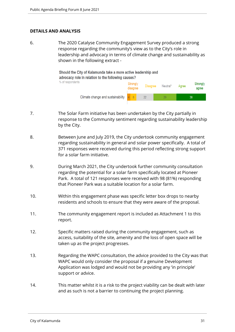#### **DETAILS AND ANALYSIS**

6. The 2020 Catalyse Community Engagement Survey produced a strong response regarding the community's view as to the City's role in leadership and advocacy in terms of climate change and sustainability as shown in the following extract -

> Should the City of Kalamunda take a more active leadership and advocacy role in relation to the following causes? % of respondents Stronaly **Disagree** Neutral\* Aaree disagree Climate change and sustainability  $4 \overline{8}$  $\overline{22}$ 29 38

- 7. The Solar Farm initiative has been undertaken by the City partially in response to the Community sentiment regarding sustainability leadership by the City.
- 8. Between June and July 2019, the City undertook community engagement regarding sustainability in general and solar power specifically. A total of 371 responses were received during this period reflecting strong support for a solar farm initiative.
- 9. During March 2021, the City undertook further community consultation regarding the potential for a solar farm specifically located at Pioneer Park. A total of 121 responses were received with 98 (81%) responding that Pioneer Park was a suitable location for a solar farm.
- 10. Within this engagement phase was specific letter box drops to nearby residents and schools to ensure that they were aware of the proposal.
- 11. The community engagement report is included as Attachment 1 to this report.
- 12. Specific matters raised during the community engagement, such as access, suitability of the site, amenity and the loss of open space will be taken up as the project progresses.
- 13. Regarding the WAPC consultation, the advice provided to the City was that WAPC would only consider the proposal if a genuine Development Application was lodged and would not be providing any 'in principle' support or advice.
- 14. This matter whilst it is a risk to the project viability can be dealt with later and as such is not a barrier to continuing the project planning.

Strongly

agree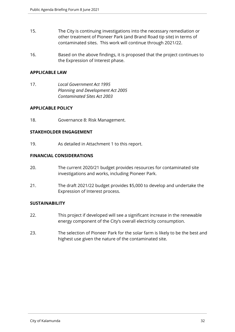- 15. The City is continuing investigations into the necessary remediation or other treatment of Pioneer Park (and Brand Road tip site) in terms of contaminated sites. This work will continue through 2021/22.
- 16. Based on the above findings, it is proposed that the project continues to the Expression of Interest phase.

#### **APPLICABLE LAW**

17. *Local Government Act 1995 Planning and Development Act 2005 Contaminated Sites Act 2003*

# **APPLICABLE POLICY**

18. Governance 8: Risk Management.

#### **STAKEHOLDER ENGAGEMENT**

19. As detailed in Attachment 1 to this report.

#### **FINANCIAL CONSIDERATIONS**

- 20. The current 2020/21 budget provides resources for contaminated site investigations and works, including Pioneer Park.
- 21. The draft 2021/22 budget provides \$5,000 to develop and undertake the Expression of Interest process.

# **SUSTAINABILITY**

- 22. This project if developed will see a significant increase in the renewable energy component of the City's overall electricity consumption.
- 23. The selection of Pioneer Park for the solar farm is likely to be the best and highest use given the nature of the contaminated site.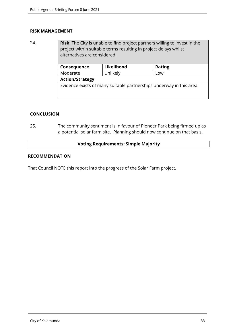#### **RISK MANAGEMENT**

24. **Risk**: The City is unable to find project partners willing to invest in the project within suitable terms resulting in project delays whilst alternatives are considered.

| Consequence                                                          | Likelihood | <b>Rating</b> |
|----------------------------------------------------------------------|------------|---------------|
| Moderate                                                             | Unlikely   | Low           |
| <b>Action/Strategy</b>                                               |            |               |
| Evidence exists of many suitable partnerships underway in this area. |            |               |
|                                                                      |            |               |

#### **CONCLUSION**

25. The community sentiment is in favour of Pioneer Park being firmed up as a potential solar farm site. Planning should now continue on that basis.

#### **Voting Requirements: Simple Majority**

#### **RECOMMENDATION**

That Council NOTE this report into the progress of the Solar Farm project.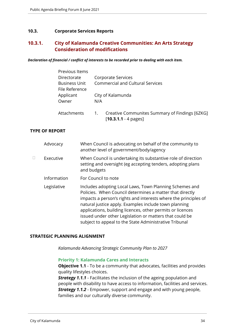#### <span id="page-33-0"></span>**10.3. Corporate Services Reports**

# <span id="page-33-1"></span>**10.3.1. City of Kalamunda Creative Communities: An Arts Strategy Consideration of modifications**

*Declaration of financial / conflict of interests to be recorded prior to dealing with each item.*

| Previous Items       |     |                                                |
|----------------------|-----|------------------------------------------------|
| Directorate          |     | Corporate Services                             |
| <b>Business Unit</b> |     | <b>Commercial and Cultural Services</b>        |
| File Reference       |     |                                                |
| Applicant            |     | City of Kalamunda                              |
| Owner                | N/A |                                                |
|                      |     |                                                |
| Attachments          | 1.  | Creative Communites Summary of Findings [6ZKG] |
|                      |     | $[10.3.1.1 - 4 \text{ pages}]$                 |

#### **TYPE OF REPORT**

|   | Advocacy    | When Council is advocating on behalf of the community to<br>another level of government/body/agency                                                                                                                                                                                                                                                                                                                                |
|---|-------------|------------------------------------------------------------------------------------------------------------------------------------------------------------------------------------------------------------------------------------------------------------------------------------------------------------------------------------------------------------------------------------------------------------------------------------|
| П | Executive   | When Council is undertaking its substantive role of direction<br>setting and oversight (eg accepting tenders, adopting plans<br>and budgets                                                                                                                                                                                                                                                                                        |
|   | Information | For Council to note                                                                                                                                                                                                                                                                                                                                                                                                                |
|   | Legislative | Includes adopting Local Laws, Town Planning Schemes and<br>Policies. When Council determines a matter that directly<br>impacts a person's rights and interests where the principles of<br>natural justice apply. Examples include town planning<br>applications, building licences, other permits or licences<br>issued under other Legislation or matters that could be<br>subject to appeal to the State Administrative Tribunal |

#### **STRATEGIC PLANNING ALIGNMENT**

*Kalamunda Advancing Strategic Community Plan to 2027*

#### **Priority 1: Kalamunda Cares and Interacts**

**Objective 1.1** - To be a community that advocates, facilities and provides quality lifestyles choices.

*Strategy 1.1.1* - Facilitates the inclusion of the ageing population and people with disability to have access to information, facilities and services. *Strategy 1.1.2* - Empower, support and engage and with young people, families and our culturally diverse community.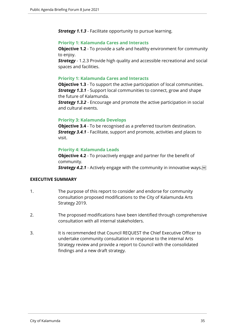*Strategy 1.1.3* - Facilitate opportunity to pursue learning.

#### **Priority 1: Kalamunda Cares and Interacts**

**Objective 1.2** - To provide a safe and healthy environment for community to enjoy.

**Strategy** - 1.2.3 Provide high quality and accessible recreational and social spaces and facilities.

#### **Priority 1: Kalamunda Cares and Interacts**

**Objective 1.3** - To support the active participation of local communities. *Strategy 1.3.1* - Support local communities to connect, grow and shape the future of Kalamunda.

**Strategy 1.3.2** - Encourage and promote the active participation in social and cultural events.

# **Priority 3: Kalamunda Develops**

**Objective 3.4** - To be recognised as a preferred tourism destination. *Strategy 3.4.1* - Facilitate, support and promote, activities and places to visit.

#### **Priority 4: Kalamunda Leads**

**Objective 4.2** - To proactively engage and partner for the benefit of community.

*Strategy 4.2.1* - Actively engage with the community in innovative ways.

#### **EXECUTIVE SUMMARY**

- 1. The purpose of this report to consider and endorse for community consultation proposed modifications to the City of Kalamunda Arts Strategy 2019.
- 2. The proposed modifications have been identified through comprehensive consultation with all internal stakeholders.
- 3. It is recommended that Council REQUEST the Chief Executive Officer to undertake community consultation in response to the internal Arts Strategy review and provide a report to Council with the consolidated findings and a new draft strategy.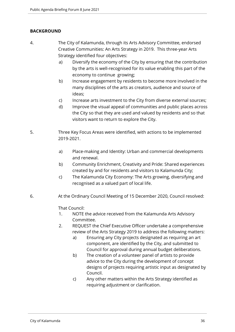# **BACKGROUND**

- 4. The City of Kalamunda, through its Arts Advisory Committee, endorsed Creative Communities: An Arts Strategy in 2019. This three-year Arts Strategy identified four objectives:
	- a) Diversify the economy of the City by ensuring that the contribution by the arts is well-recognised for its value enabling this part of the economy to continue growing;
	- b) Increase engagement by residents to become more involved in the many disciplines of the arts as creators, audience and source of ideas;
	- c) Increase arts investment to the City from diverse external sources;
	- d) Improve the visual appeal of communities and public places across the City so that they are used and valued by residents and so that visitors want to return to explore the City.
- 5. Three Key Focus Areas were identified, with actions to be implemented 2019-2021.
	- a) Place-making and Identity: Urban and commercial developments and renewal.
	- b) Community Enrichment, Creativity and Pride: Shared experiences created by and for residents and visitors to Kalamunda City;
	- c) The Kalamunda City Economy: The Arts growing, diversifying and recognised as a valued part of local life.
- 6. At the Ordinary Council Meeting of 15 December 2020, Council resolved:

That Council:

- 1. NOTE the advice received from the Kalamunda Arts Advisory Committee.
- 2. REQUEST the Chief Executive Officer undertake a comprehensive review of the Arts Strategy 2019 to address the following matters:
	- a) Ensuring any City projects designated as requiring an art component, are identified by the City, and submitted to Council for approval during annual budget deliberations.
	- b) The creation of a volunteer panel of artists to provide advice to the City during the development of concept designs of projects requiring artistic input as designated by Council.
	- c) Any other matters within the Arts Strategy identified as requiring adjustment or clarification.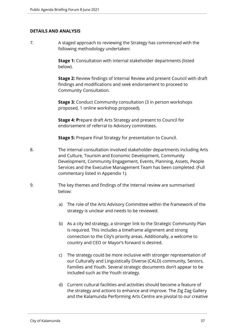#### **DETAILS AND ANALYSIS**

7. A staged approach to reviewing the Strategy has commenced with the following methodology undertaken:

> **Stage 1:** Consultation with internal stakeholder departments (listed below).

**Stage 2:** Review findings of Internal Review and present Council with draft findings and modifications and seek endorsement to proceed to Community Consultation.

**Stage 3:** Conduct Community consultation (3 in person workshops proposed, 1 online workshop proposed).

**Stage 4: P**repare draft Arts Strategy and present to Council for endorsement of referral to Advisory committees.

**Stage 5:** Prepare Final Strategy for presentation to Council.

- 8. The internal consultation involved stakeholder departments including Arts and Culture, Tourism and Economic Development, Community Development, Community Engagement, Events, Planning, Assets, People Services and the Executive Management Team has been completed. (Full commentary listed in Appendix 1).
- 9. The key themes and findings of the Internal review are summarised below:
	- a) The role of the Arts Advisory Committee within the framework of the strategy is unclear and needs to be reviewed.
	- b) As a city led strategy, a stronger link to the Strategic Community Plan is required. This includes a timeframe alignment and strong connection to the City's priority areas. Additionally, a welcome to country and CEO or Mayor's forward is desired.
	- c) The strategy could be more inclusive with stronger representation of our Culturally and Linguistically Diverse (CALD) community, Seniors, Families and Youth. Several strategic documents don't appear to be included such as the Youth strategy.
	- d) Current cultural facilities and activities should become a feature of the strategy and actions to enhance and improve. The Zig Zag Gallery and the Kalamunda Performing Arts Centre are pivotal to our creative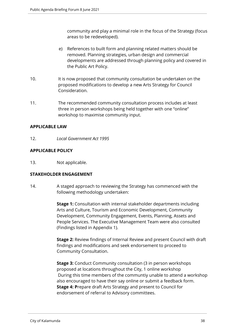community and play a minimal role in the focus of the Strategy (focus areas to be redeveloped).

- e) References to built form and planning related matters should be removed. Planning strategies, urban design and commercial developments are addressed through planning policy and covered in the Public Art Policy.
- 10. It is now proposed that community consultation be undertaken on the proposed modifications to develop a new Arts Strategy for Council Consideration.
- 11. The recommended community consultation process includes at least three in person workshops being held together with one "online" workshop to maximise community input.

# **APPLICABLE LAW**

12. *Local Government Act 1995*

# **APPLICABLE POLICY**

13. Not applicable.

# **STAKEHOLDER ENGAGEMENT**

14. A staged approach to reviewing the Strategy has commenced with the following methodology undertaken:

> **Stage 1:** Consultation with internal stakeholder departments including Arts and Culture, Tourism and Economic Development, Community Development, Community Engagement, Events, Planning, Assets and People Services. The Executive Management Team were also consulted (Findings listed in Appendix 1).

**Stage 2:** Review findings of Internal Review and present Council with draft findings and modifications and seek endorsement to proceed to Community Consultation.

**Stage 3:** Conduct Community consultation (3 in person workshops proposed at locations throughout the City, 1 online workshop During this time members of the communtiy unable to attend a workshop also encouraged to have their say online or submit a feedback form. **Stage 4: P**repare draft Arts Strategy and present to Council for endorsement of referral to Advisory committees.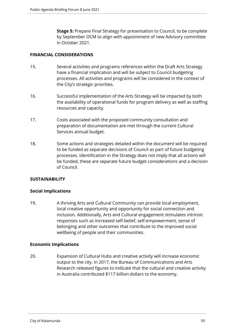**Stage 5:** Prepare Final Strategy for presentation to Council, to be complete by September OCM to align with appointment of new Advisory committee in October 2021.

# **FINANCIAL CONSIDERATIONS**

- 15. Several activities and programs references within the Draft Arts Strategy have a financial implication and will be subject to Council budgeting processes. All activities and programs will be considered in the context of the City's strategic priorities.
- 16. Successful implementation of the Arts Strategy will be impacted by both the availability of operational funds for program delivery as well as staffing resources and capacity.
- 17. Costs associated with the proposed community consultation and preparation of documentation are met through the current Cultural Services annual budget.
- 18. Some actions and strategies detailed within the document will be required to be funded as separate decisions of Council as part of future budgeting processes. Identification in the Strategy does not imply that all actions will be funded, these are separate future budget considerations and a decision of Council.

# **SUSTAINABILITY**

#### **Social Implications**

19. A thriving Arts and Cultural Community can provide local employment, local creative opportunity and opportunity for social connection and inclusion. Additionally, Arts and Cultural engagement stimulates intrinsic responses such as increased self-belief, self-empowerment, sense of belonging and other outcomes that contribute to the improved social wellbeing of people and their communities.

#### **Economic Implications**

20. Expansion of Cultural Hubs and creative activity will increase economic output to the city. In 2017, the Bureau of Communications and Arts Research released figures to indicate that the cultural and creative activity in Australia contributed \$117 billion dollars to the economy.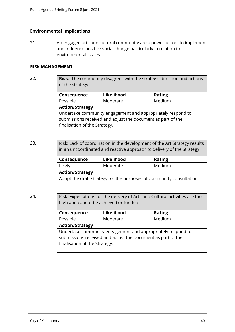#### **Environmental Implications**

finalisation of the Strategy.

21. An engaged arts and cultural community are a powerful tool to implement and influence positive social change particularly in relation to environmental issues.

#### **RISK MANAGEMENT**

22. **Risk**: The community disagrees with the strategic direction and actions of the strategy.

| Consequence                                                 | Likelihood | <b>Rating</b> |  |  |
|-------------------------------------------------------------|------------|---------------|--|--|
| Possible                                                    | Moderate   | Medium        |  |  |
| <b>Action/Strategy</b>                                      |            |               |  |  |
| Undertake community engagement and appropriately respond to |            |               |  |  |
| submissions received and adjust the document as part of the |            |               |  |  |

23. Risk: Lack of coordination in the development of the Art Strategy results in an uncoordinated and reactive approach to delivery of the Strategy.

| Consequence            | Likelihood | <b>Rating</b> |
|------------------------|------------|---------------|
| Likely                 | Moderate   | Medium        |
| <b>Action/Strategy</b> |            |               |

Adopt the draft strategy for the purposes of community consultation.

24. Risk: Expectations for the delivery of Arts and Cultural activities are too high and cannot be achieved or funded.

| Consequence                                                                                                                | Likelihood         | <b>Rating</b> |  |  |
|----------------------------------------------------------------------------------------------------------------------------|--------------------|---------------|--|--|
| Possible                                                                                                                   | Medium<br>Moderate |               |  |  |
| <b>Action/Strategy</b>                                                                                                     |                    |               |  |  |
| Undertake community engagement and appropriately respond to<br>submissions received and adjust the document as part of the |                    |               |  |  |
| finalisation of the Strategy.                                                                                              |                    |               |  |  |
|                                                                                                                            |                    |               |  |  |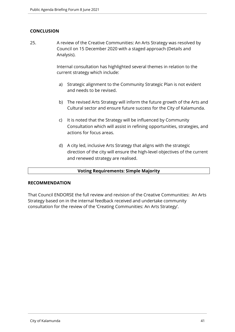# **CONCLUSION**

25. A review of the Creative Communities: An Arts Strategy was resolved by Council on 15 December 2020 with a staged approach (Details and Analysis).

> Internal consultation has highlighted several themes in relation to the current strategy which include:

- a) Strategic alignment to the Community Strategic Plan is not evident and needs to be revised.
- b) The revised Arts Strategy will inform the future growth of the Arts and Cultural sector and ensure future success for the City of Kalamunda.
- c) It is noted that the Strategy will be influenced by Community Consultation which will assist in refining opportunities, strategies, and actions for focus areas.
- d) A city led, inclusive Arts Strategy that aligns with the strategic direction of the city will ensure the high-level objectives of the current and renewed strategy are realised.

# **Voting Requirements: Simple Majority**

# **RECOMMENDATION**

That Council ENDORSE the full review and revision of the Creative Communities: An Arts Strategy based on in the internal feedback received and undertake community consultation for the review of the 'Creating Communities: An Arts Strategy'.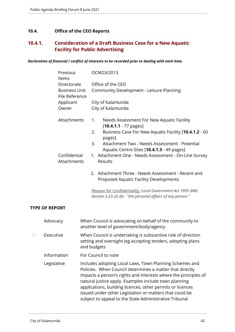# **10.4. Office of the CEO Reports**

# **10.4.1. Consideration of a Draft Business Case for a New Aquatic Facility for Public Advertising**

*Declaration of financial / conflict of interests to be recorded prior to dealing with each item.*

| Previous<br>Items                      | OCM23/2013                                                                                                                 |  |  |
|----------------------------------------|----------------------------------------------------------------------------------------------------------------------------|--|--|
| Directorate                            | Office of the CEO                                                                                                          |  |  |
| <b>Business Unit</b><br>File Reference | Community Development - Leisure Planning                                                                                   |  |  |
| Applicant                              | City of Kalamunda                                                                                                          |  |  |
| Owner                                  | City of Kalamunda                                                                                                          |  |  |
| Attachments                            | 1.<br>Needs Assessment For New Aquatic Facility<br>$[10.4.1.1 - 77$ pages]                                                 |  |  |
|                                        | 2.<br>Business Case For New Aquatic Facility [10.4.1.2 - 60<br>pages]                                                      |  |  |
|                                        | Attachment Two - Needs Assessment - Potential<br>3.<br>Aquatic Centre Sites [10.4.1.3 - 49 pages]                          |  |  |
| Confidential<br>Attachments            | 1. Attachment One - Needs Assessment - On-Line Survey<br>Results                                                           |  |  |
|                                        | 2. Attachment Three - Needs Assessment - Recent and<br>Proposed Aquatic Facility Developments                              |  |  |
|                                        | Reason for Confidentiality: Local Government Act 1995 (WA)<br>Section 5.23 (2) (b) - "the personal affairs of any person." |  |  |
| ORT                                    |                                                                                                                            |  |  |

# **TYPE OF REP**

|   | Advocacy    | When Council is advocating on behalf of the community to<br>another level of government/body/agency                                                                                                                                                                                                                                                                                                                                |
|---|-------------|------------------------------------------------------------------------------------------------------------------------------------------------------------------------------------------------------------------------------------------------------------------------------------------------------------------------------------------------------------------------------------------------------------------------------------|
| П | Executive   | When Council is undertaking is substantive role of direction<br>setting and oversight (eg accepting tenders, adopting plans<br>and budgets                                                                                                                                                                                                                                                                                         |
|   | Information | For Council to note                                                                                                                                                                                                                                                                                                                                                                                                                |
|   | Legislative | Includes adopting Local Laws, Town Planning Schemes and<br>Policies. When Council determines a matter that directly<br>impacts a person's rights and interests where the principles of<br>natural justice apply. Examples include town planning<br>applications, building licences, other permits or licences<br>issued under other Legislation or matters that could be<br>subject to appeal to the State Administrative Tribunal |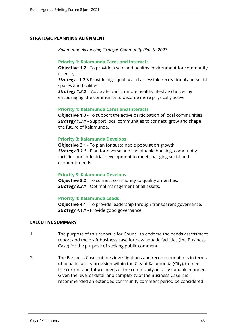## **STRATEGIC PLANNING ALIGNMENT**

*Kalamunda Advancing Strategic Community Plan to 2027*

#### **Priority 1: Kalamunda Cares and Interacts**

**Objective 1.2** - To provide a safe and healthy environment for community to enjoy.

**Strategy** - 1.2.3 Provide high quality and accessible recreational and social spaces and facilities.

**Strategy 1.2.2** - Advocate and promote healthy lifestyle choices by encouraging the community to become more physically active.

## **Priority 1: Kalamunda Cares and Interacts**

**Objective 1.3** - To support the active participation of local communities. *Strategy 1.3.1* - Support local communities to connect, grow and shape the future of Kalamunda.

## **Priority 3: Kalamunda Develops**

**Objective 3.1** - To plan for sustainable population growth. *Strategy 3.1.1* - Plan for diverse and sustainable housing, community facilities and industrial development to meet changing social and economic needs.

#### **Priority 3: Kalamunda Develops**

**Objective 3.2** - To connect community to quality amenities. *Strategy 3.2.1* - Optimal management of all assets.

#### **Priority 4: Kalamunda Leads**

**Objective 4.1** - To provide leadership through transparent governance. *Strategy 4.1.1* - Provide good governance.

# **EXECUTIVE SUMMARY**

- 1. The purpose of this report is for Council to endorse the needs assessment report and the draft business case for new aquatic facilities (the Business Case) for the purpose of seeking public comment.
- 2. The Business Case outlines investigations and recommendations in terms of aquatic facility provision within the City of Kalamunda (City), to meet the current and future needs of the community, in a sustainable manner. Given the level of detail and complexity of the Business Case it is recommended an extended community comment period be considered.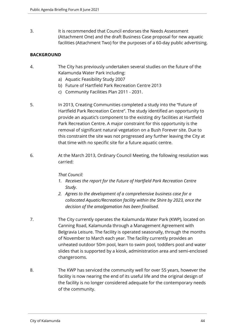3. It is recommended that Council endorses the Needs Assessment (Attachment One) and the draft Business Case proposal for new aquatic facilities (Attachment Two) for the purposes of a 60-day public advertising.

# **BACKGROUND**

- 4. The City has previously undertaken several studies on the future of the Kalamunda Water Park including:
	- a) Aquatic Feasibility Study 2007
	- b) Future of Hartfield Park Recreation Centre 2013
	- c) Community Facilities Plan 2011 2031.
- 5. In 2013, Creating Communities completed a study into the "Future of Hartfield Park Recreation Centre". The study identified an opportunity to provide an aquatic's component to the existing dry facilities at Hartfield Park Recreation Centre. A major constraint for this opportunity is the removal of significant natural vegetation on a Bush Forever site. Due to this constraint the site was not progressed any further leaving the City at that time with no specific site for a future aquatic centre.
- 6. At the March 2013, Ordinary Council Meeting, the following resolution was carried:

# *That Council:*

- *1. Receives the report for the Future of Hartfield Park Recreation Centre Study.*
- *2. Agrees to the development of a comprehensive business case for a collocated Aquatic/Recreation facility within the Shire by 2023, once the decision of the amalgamation has been finalised.*
- 7. The City currently operates the Kalamunda Water Park (KWP), located on Canning Road, Kalamunda through a Management Agreement with Belgravia Leisure. The facility is operated seasonally, through the months of November to March each year. The facility currently provides an unheated outdoor 50m pool, learn to swim pool, toddlers pool and water slides that is supported by a kiosk, administration area and semi-enclosed changerooms.
- 8. The KWP has serviced the community well for over 55 years, however the facility is now nearing the end of its useful life and the original design of the facility is no longer considered adequate for the contemporary needs of the community.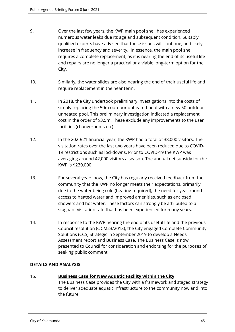- 9. Over the last few years, the KWP main pool shell has experienced numerous water leaks due its age and subsequent condition. Suitably qualified experts have advised that these issues will continue, and likely increase in frequency and severity. In essence, the main pool shell requires a complete replacement, as it is nearing the end of its useful life and repairs are no longer a practical or a viable long-term option for the City.
- 10. Similarly, the water slides are also nearing the end of their useful life and require replacement in the near term.
- 11. In 2018, the City undertook preliminary investigations into the costs of simply replacing the 50m outdoor unheated pool with a new 50 outdoor unheated pool. This preliminary investigation indicated a replacement cost in the order of \$3.5m. These exclude any improvements to the user facilities (changerooms etc)
- 12. In the 2020/21 financial year, the KWP had a total of 38,000 visitors. The visitation rates over the last two years have been reduced due to COVID-19 restrictions such as lockdowns. Prior to COVID-19 the KWP was averaging around 42,000 visitors a season. The annual net subsidy for the KWP is \$230,000.
- 13. For several years now, the City has regularly received feedback from the community that the KWP no longer meets their expectations, primarily due to the water being cold (heating required); the need for year-round access to heated water and improved amenities, such as enclosed showers and hot water. These factors can strongly be attributed to a stagnant visitation rate that has been experienced for many years.
- 14. In response to the KWP nearing the end of its useful life and the previous Council resolution (OCM23/2013), the City engaged Complete Community Solutions (CCS) Strategic in September 2019 to develop a Needs Assessment report and Business Case. The Business Case is now presented to Council for consideration and endorsing for the purposes of seeking public comment.

# **DETAILS AND ANALYSIS**

# 15. **Business Case for New Aquatic Facility within the City**

The Business Case provides the City with a framework and staged strategy to deliver adequate aquatic infrastructure to the community now and into the future.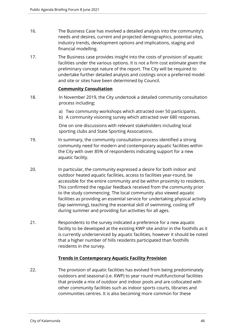- 16. The Business Case has involved a detailed analysis into the community's needs and desires, current and projected demographics, potential sites, industry trends, development options and implications, staging and financial modelling.
- 17. The Business case provides insight into the costs of provision of aquatic facilities under the various options. It is not a firm cost estimate given the preliminary concept nature of the report. The City will be required to undertake further detailed analysis and costings once a preferred model and site or sites have been determined by Council.

# **Community Consultation**

- 18. In November 2019, the City undertook a detailed community consultation process including:
	- a) Two community workshops which attracted over 50 participants.
	- b) A community visioning survey which attracted over 680 responses.

One on one discussions with relevant stakeholders including local sporting clubs and State Sporting Associations.

- 19. In summary, the community consultation process identified a strong community need for modern and contemporary aquatic facilities within the City with over 85% of respondents indicating support for a new aquatic facility.
- 20. In particular, the community expressed a desire for both indoor and outdoor heated aquatic facilities, access to facilities year-round, be accessible for the entire community and be within proximity to residents. This confirmed the regular feedback received from the community prior to the study commencing. The local community also viewed aquatic facilities as providing an essential service for undertaking physical activity (lap swimming), teaching the essential skill of swimming, cooling off during summer and providing fun activities for all ages.
- 21. Respondents to the survey indicated a preference for a new aquatic facility to be developed at the existing KWP site and/or in the foothills as it is currently underserviced by aquatic facilities, however it should be noted that a higher number of hills residents participated than foothills residents in the survey.

# **Trends in Contemporary Aquatic Facility Provision**

22. The provision of aquatic facilities has evolved from being predominately outdoors and seasonal (i.e. KWP) to year round multifunctional facilities that provide a mix of outdoor and indoor pools and are collocated with other community facilities such as indoor sports courts, libraries and communities centres. It is also becoming more common for these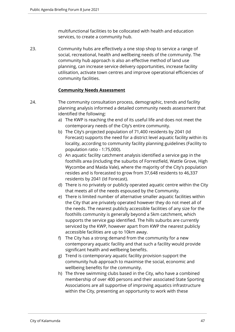multifunctional facilities to be collocated with health and education services, to create a community hub.

23. Community hubs are effectively a one stop shop to service a range of social, recreational, health and wellbeing needs of the community. The community hub approach is also an effective method of land use planning, can increase service delivery opportunities, increase facility utilisation, activate town centres and improve operational efficiencies of community facilities.

# **Community Needs Assessment**

- 24. The community consultation process, demographic, trends and facility planning analysis informed a detailed community needs assessment that identified the following:
	- a) The KWP is reaching the end of its useful life and does not meet the contemporary needs of the City's entire community.
	- b) The City's projected population of 71,400 residents by 2041 (Id Forecast) supports the need for a district level aquatic facility within its locality, according to community facility planning guidelines (Facility to population ratio - 1:75,000).
	- c) An aquatic facility catchment analysis identified a service gap in the foothills area (including the suburbs of Forrestfield, Wattle Grove, High Wycombe and Maida Vale), where the majority of the City's population resides and is forecasted to grow from 37,648 residents to 46,337 residents by 2041 (Id Forecast).
	- d) There is no privately or publicly operated aquatic centre within the City that meets all of the needs espoused by the Community.
	- e) There is limited number of alternative smaller aquatic facilities within the City that are privately operated however they do not meet all of the needs. The nearest publicly accessible facilities of any size for the foothills community is generally beyond a 5km catchment, which supports the service gap identified. The hills suburbs are currently serviced by the KWP, however apart from KWP the nearest publicly accessible facilities are up to 10km away.
	- f) The City has a strong demand from the community for a new contemporary aquatic facility and that such a facility would provide significant health and wellbeing benefits.
	- g) Trend is contemporary aquatic facility provision support the community hub approach to maximise the social, economic and wellbeing benefits for the community.
	- h) The three swimming clubs based in the City, who have a combined membership of over 400 persons and their associated State Sporting Associations are all supportive of improving aquatics infrastructure within the City, presenting an opportunity to work with these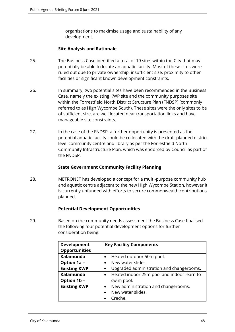organisations to maximise usage and sustainability of any development.

# **Site Analysis and Rationale**

- 25. The Business Case identified a total of 19 sites within the City that may potentially be able to locate an aquatic facility. Most of these sites were ruled out due to private ownership, insufficient size, proximity to other facilities or significant known development constraints.
- 26. In summary, two potential sites have been recommended in the Business Case, namely the existing KWP site and the community purposes site within the Forrestfield North District Structure Plan (FNDSP) (commonly referred to as High Wycombe South). These sites were the only sites to be of sufficient size, are well located near transportation links and have manageable site constraints.
- 27. In the case of the FNDSP, a further opportunity is presented as the potential aquatic facility could be collocated with the draft planned district level community centre and library as per the Forrestfield North Community Infrastructure Plan, which was endorsed by Council as part of the FNDSP.

# **State Government Community Facility Planning**

28. METRONET has developed a concept for a multi-purpose community hub and aquatic centre adjacent to the new High Wycombe Station, however it is currently unfunded with efforts to secure commonwealth contributions planned.

# **Potential Development Opportunities**

29. Based on the community needs assessment the Business Case finalised the following four potential development options for further consideration being:

| <b>Development</b>   | <b>Key Facility Components</b>                          |  |
|----------------------|---------------------------------------------------------|--|
| <b>Opportunities</b> |                                                         |  |
| Kalamunda            | Heated outdoor 50m pool.<br>$\bullet$                   |  |
| Option 1a -          | New water slides.<br>$\bullet$                          |  |
| <b>Existing KWP</b>  | Upgraded administration and changerooms.<br>$\bullet$   |  |
| Kalamunda            | Heated indoor 25m pool and indoor learn to<br>$\bullet$ |  |
| Option 1b -          | swim pool.                                              |  |
| <b>Existing KWP</b>  | New administration and changerooms.<br>$\bullet$        |  |
|                      | New water slides.                                       |  |
|                      | Creche.                                                 |  |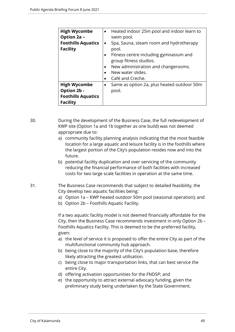| <b>High Wycombe</b><br>Option 2a -<br><b>Foothills Aquatics</b><br><b>Facility</b> | $\bullet$<br>$\bullet$<br>$\bullet$<br>$\bullet$ | Heated indoor 25m pool and indoor learn to<br>swim pool.<br>Spa, Sauna, steam room and hydrotherapy<br>pool.<br>Fitness centre including gymnasium and<br>group fitness studios.<br>New administration and changerooms.<br>New water slides.<br>Café and Creche. |
|------------------------------------------------------------------------------------|--------------------------------------------------|------------------------------------------------------------------------------------------------------------------------------------------------------------------------------------------------------------------------------------------------------------------|
| <b>High Wycombe</b><br>Option 2b -<br><b>Foothills Aquatics</b><br><b>Facility</b> | ٠                                                | Same as option 2a, plus heated outdoor 50m<br>pool.                                                                                                                                                                                                              |

30. During the development of the Business Case, the full redevelopment of KWP site (Option 1a and 1b together as one build) was not deemed appropriate due to:

- a) community facility planning analysis indicating that the most feasible location for a large aquatic and leisure facility is in the foothills where the largest portion of the City's population resides now and into the future.
- b) potential facility duplication and over servicing of the community reducing the financial performance of both facilities with increased costs for two large scale facilities in operation at the same time.
- 31. The Business Case recommends that subject to detailed feasibility, the City develop two aquatic facilities being:
	- a) Option 1a KWP heated outdoor 50m pool (seasonal operation); and
	- b) Option 2b Foothills Aquatic Facility.

If a two aquatic facility model is not deemed financially affordable for the City, then the Business Case recommends investment in only Option 2b – Foothills Aquatics Facility. This is deemed to be the preferred facility, given:

- a) the level of service it is proposed to offer the entire City as part of the multifunctional community hub approach.
- b) being close to the majority of the City's population base, therefore likely attracting the greatest utilisation.
- c) being close to major transportation links, that can best service the entire City.
- d) offering activation opportunities for the FNDSP; and
- e) the opportunity to attract external advocacy funding, given the preliminary study being undertaken by the State Government.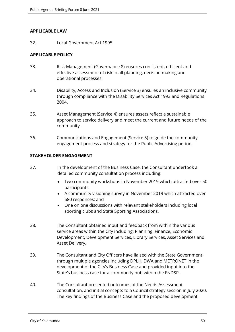## **APPLICABLE LAW**

32. Local Government Act 1995.

# **APPLICABLE POLICY**

- 33. Risk Management (Governance 8) ensures consistent, efficient and effective assessment of risk in all planning, decision making and operational processes.
- 34. Disability, Access and Inclusion (Service 3) ensures an inclusive community through compliance with the Disability Services Act 1993 and Regulations 2004.
- 35. Asset Management (Service 4) ensures assets reflect a sustainable approach to service delivery and meet the current and future needs of the community.
- 36. Communications and Engagement (Service 5) to guide the community engagement process and strategy for the Public Advertising period.

# **STAKEHOLDER ENGAGEMENT**

- 37. In the development of the Business Case, the Consultant undertook a detailed community consultation process including:
	- Two community workshops in November 2019 which attracted over 50 participants.
	- A community visioning survey in November 2019 which attracted over 680 responses: and
	- One on one discussions with relevant stakeholders including local sporting clubs and State Sporting Associations.
- 38. The Consultant obtained input and feedback from within the various service areas within the City including: Planning, Finance, Economic Development, Development Services, Library Services, Asset Services and Asset Delivery.
- 39. The Consultant and City Officers have liaised with the State Government through multiple agencies including DPLH, DWA and METRONET in the development of the City's Business Case and provided input into the State's business case for a community hub within the FNDSP.
- 40. The Consultant presented outcomes of the Needs Assessment, consultation, and initial concepts to a Council strategy session in July 2020. The key findings of the Business Case and the proposed development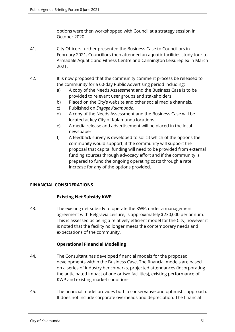options were then workshopped with Council at a strategy session in October 2020.

- 41. City Officers further presented the Business Case to Councillors in February 2021. Councillors then attended an aquatic facilities study tour to Armadale Aquatic and Fitness Centre and Cannington Leisureplex in March 2021.
- 42. It is now proposed that the community comment process be released to the community for a 60-day Public Advertising period including:
	- a) A copy of the Needs Assessment and the Business Case is to be provided to relevant user groups and stakeholders.
	- b) Placed on the City's website and other social media channels.
	- c) Published on *Engage Kalamunda.*
	- d) A copy of the Needs Assessment and the Business Case will be located at key City of Kalamunda locations.
	- e) A media release and advertisement will be placed in the local newspaper.
	- f) A feedback survey is developed to solicit which of the options the community would support, if the community will support the proposal that capital funding will need to be provided from external funding sources through advocacy effort and if the community is prepared to fund the ongoing operating costs through a rate increase for any of the options provided.

# **FINANCIAL CONSIDERATIONS**

# **Existing Net Subsidy KWP**

43. The existing net subsidy to operate the KWP, under a management agreement with Belgravia Leisure, is approximately \$230,000 per annum. This is assessed as being a relatively efficient model for the City, however it is noted that the facility no longer meets the contemporary needs and expectations of the community.

# **Operational Financial Modelling**

- 44. The Consultant has developed financial models for the proposed developments within the Business Case. The financial models are based on a series of industry benchmarks, projected attendances (incorporating the anticipated impact of one or two facilities), existing performance of KWP and existing market conditions.
- 45. The financial model provides both a conservative and optimistic approach. It does not include corporate overheads and depreciation. The financial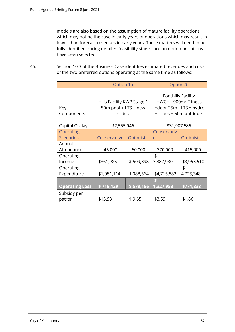models are also based on the assumption of mature facility operations which may not be the case in early years of operations which may result in lower than forecast revenues in early years. These matters will need to be fully identified during detailed feasibility stage once an option or options have been selected.

46. Section 10.3 of the Business Case identifies estimated revenues and costs of the two preferred options operating at the same time as follows:

|                       | <b>Option 1a</b>                                             |            |             | Option <sub>2</sub> b                                                                                         |
|-----------------------|--------------------------------------------------------------|------------|-------------|---------------------------------------------------------------------------------------------------------------|
| Key<br>Components     | Hills Facility KWP Stage 1<br>50m pool + LTS + new<br>slides |            |             | Foothills Facility<br>HWCH - 900m <sup>2</sup> Fitness<br>indoor 25m - LTS = hydro<br>+ slides + 50m outdoors |
| Capital Outlay        | \$7,555,946                                                  |            |             | \$31,907,585                                                                                                  |
| Operating             |                                                              |            |             |                                                                                                               |
| <b>Scenarios</b>      | Conservative                                                 | Optimistic | e           | Optimistic                                                                                                    |
| Annual                |                                                              |            |             |                                                                                                               |
| Attendance            | 45,000                                                       | 60,000     | 370,000     | 415,000                                                                                                       |
| Operating             |                                                              |            | \$          |                                                                                                               |
| Income                | \$361,985                                                    | \$509,398  | 3,387,930   | \$3,953,510                                                                                                   |
| Operating             |                                                              |            |             | \$                                                                                                            |
| Expenditure           | \$1,081,114                                                  | 1,088,564  | \$4,715,883 | 4,725,348                                                                                                     |
|                       |                                                              |            |             |                                                                                                               |
| <b>Operating Loss</b> | \$719,129                                                    | \$579,186  | 1,327,953   | \$771,838                                                                                                     |
| Subsidy per           |                                                              |            |             |                                                                                                               |
| patron                | \$15.98                                                      | \$9.65     | \$3.59      | \$1.86                                                                                                        |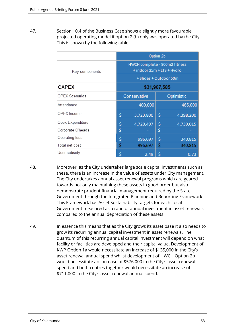47. Section 10.4 of the Business Case shows a slightly more favourable projected operating model if option 2 (b) only was operated by the City. This is shown by the following table:

|                       | Option 2b    |                                                             |    |            |  |
|-----------------------|--------------|-------------------------------------------------------------|----|------------|--|
| Key components        |              | HWCH complete - 900m2 fitness<br>+ indoor 25m + LTS + Hydro |    |            |  |
|                       |              | + Slides + Outdoor 50m                                      |    |            |  |
| <b>CAPEX</b>          | \$31,907,585 |                                                             |    |            |  |
| <b>OPEX Scenarios</b> | Conservative |                                                             |    | Optimistic |  |
| Attendance            |              | 400,000                                                     |    | 465,000    |  |
| OPEX Income           | \$           | 3,723,800                                                   | \$ | 4,398,200  |  |
| Opex Expenditure      | \$           | 4,720,497                                                   | \$ | 4,739,015  |  |
| Corporate O'heads     | \$           |                                                             | \$ |            |  |
| Operating loss        | \$           | 996,697                                                     | \$ | 340,815    |  |
| Total net cost        | Ś            | 996,697                                                     | \$ | 340,815    |  |
| User subsidy          | \$           | 2.49                                                        | \$ | 0.73       |  |

- 48. Moreover, as the City undertakes large scale capital investments such as these, there is an increase in the value of assets under City management. The City undertakes annual asset renewal programs which are geared towards not only maintaining these assets in good order but also demonstrate prudent financial management required by the State Government through the Integrated Planning and Reporting Framework. This Framework has Asset Sustainability targets for each Local Government measured as a ratio of annual investment in asset renewals compared to the annual depreciation of these assets.
- 49. In essence this means that as the City grows its asset base it also needs to grow its recurring annual capital investment in asset renewals. The quantum of this recurring annual capital investment will depend on what facility or facilities are developed and their capital value. Development of KWP Option 1a would necessitate an increase of \$135,000 in the City's asset renewal annual spend whilst development of HWCH Option 2b would necessitate an increase of \$576,000 in the City's asset renewal spend and both centres together would necessitate an increase of \$711,000 in the City's asset renewal annual spend.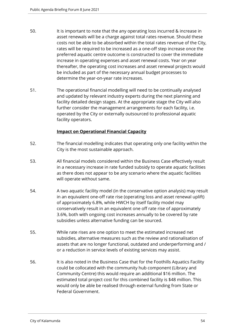- 50. It is important to note that the any operating loss incurred & increase in asset renewals will be a charge against total rates revenue. Should these costs not be able to be absorbed within the total rates revenue of the City, rates will be required to be increased as a one-off step increase once the preferred aquatic centre outcome is constructed to cover the immediate increase in operating expenses and asset renewal costs. Year on year thereafter, the operating cost increases and asset renewal projects would be included as part of the necessary annual budget processes to determine the year-on-year rate increases.
- 51. The operational financial modelling will need to be continually analysed and updated by relevant industry experts during the next planning and facility detailed design stages. At the appropriate stage the City will also further consider the management arrangements for each facility, i.e. operated by the City or externally outsourced to professional aquatic facility operators.

# **Impact on Operational Financial Capacity**

- 52. The financial modelling indicates that operating only one facility within the City is the most sustainable approach.
- 53. All financial models considered within the Business Case effectively result in a necessary increase in rate funded subsidy to operate aquatic facilities as there does not appear to be any scenario where the aquatic facilities will operate without same.
- 54. A two aquatic facility model (in the conservative option analysis) may result in an equivalent one-off rate rise (operating loss and asset renewal uplift) of approximately 6.8%, while HWCH by itself facility model may conservatively result in an equivalent one off rate rise of approximately 3.6%, both with ongoing cost increases annually to be covered by rate subsidies unless alternative funding can be sourced.
- 55. While rate rises are one option to meet the estimated increased net subsidies, alternative measures such as the review and rationalisation of assets that are no longer functional, outdated and underperforming and / or a reduction in service levels of existing services may assist.
- 56. It is also noted in the Business Case that for the Foothills Aquatics Facility could be collocated with the community hub component (Library and Community Centre) this would require an additional \$16 million. The estimated total project cost for this combined facility is \$48 million. This would only be able be realised through external funding from State or Federal Government.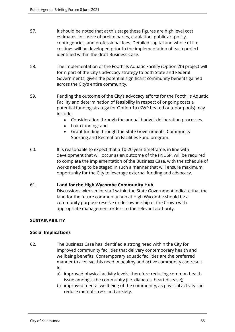- 57. It should be noted that at this stage these figures are high level cost estimates, inclusive of preliminaries, escalation, public art policy, contingencies, and professional fees. Detailed capital and whole of life costings will be developed prior to the implementation of each project identified within the draft Business Case.
- 58. The implementation of the Foothills Aquatic Facility (Option 2b) project will form part of the City's advocacy strategy to both State and Federal Governments, given the potential significant community benefits gained across the City's entire community.
- 59. Pending the outcome of the City's advocacy efforts for the Foothills Aquatic Facility and determination of feasibility in respect of ongoing costs a potential funding strategy for Option 1a (KWP heated outdoor pools) may include:
	- Consideration through the annual budget deliberation processes.
	- Loan funding; and
	- Grant funding through the State Governments, Community Sporting and Recreation Facilities Fund program.
- 60. It is reasonable to expect that a 10-20 year timeframe, in line with development that will occur as an outcome of the FNDSP, will be required to complete the implementation of the Business Case, with the schedule of works needing to be staged in such a manner that will ensure maximum opportunity for the City to leverage external funding and advocacy.

# 61. **Land for the High Wycombe Community Hub**

Discussions with senior staff within the State Government indicate that the land for the future community hub at High Wycombe should be a community purpose reserve under ownership of the Crown with appropriate management orders to the relevant authority.

# **SUSTAINABILITY**

# **Social Implications**

- 62. The Business Case has identified a strong need within the City for improved community facilities that delivery contemporary health and wellbeing benefits. Contemporary aquatic facilities are the preferred manner to achieve this need. A healthy and active community can result in:
	- a) improved physical activity levels, therefore reducing common health issue amongst the community (i.e. diabetes, heart disease);
	- b) improved mental wellbeing of the community, as physical activity can reduce mental stress and anxiety.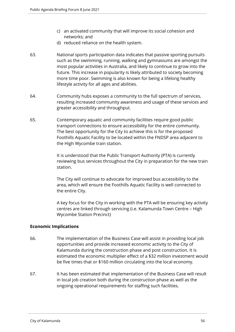- c) an activated community that will improve its social cohesion and networks; and
- d) reduced reliance on the health system.
- 63. National sports participation data indicates that passive sporting pursuits such as the swimming, running, walking and gymnasiums are amongst the most popular activities in Australia, and likely to continue to grow into the future. This increase in popularity is likely attributed to society becoming more time poor. Swimming is also known for being a lifelong healthy lifestyle activity for all ages and abilities.
- 64. Community hubs exposes a community to the full spectrum of services, resulting increased community awareness and usage of these services and greater accessibility and throughput.
- 65. Contemporary aquatic and community facilities require good public transport connections to ensure accessibility for the entire community. The best opportunity for the City to achieve this is for the proposed Foothills Aquatic Facility to be located within the FNDSP area adjacent to the High Wycombe train station.

It is understood that the Public Transport Authority (PTA) is currently reviewing bus services throughout the City in preparation for the new train station.

The City will continue to advocate for improved bus accessibility to the area, which will ensure the Foothills Aquatic Facility is well connected to the entire City.

A key focus for the City in working with the PTA will be ensuring key activity centres are linked through servicing (i.e. Kalamunda Town Centre – High Wycombe Station Precinct)

# **Economic Implications**

- 66. The implementation of the Business Case will assist in providing local job opportunities and provide increased economic activity to the City of Kalamunda during the construction phase and post construction. It is estimated the economic multiplier effect of a \$32 million investment would be five times that or \$160 million circulating into the local economy.
- 67. It has been estimated that implementation of the Business Case will result in local job creation both during the construction phase as well as the ongoing operational requirements for staffing such facilities.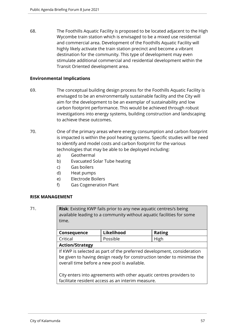68. The Foothills Aquatic Facility is proposed to be located adjacent to the High Wycombe train station which is envisaged to be a mixed use residential and commercial area. Development of the Foothills Aquatic Facility will highly likely activate the train station precinct and become a vibrant destination for the community. This type of development may even stimulate additional commercial and residential development within the Transit Oriented development area.

# **Environmental Implications**

- 69. The conceptual building design process for the Foothills Aquatic Facility is envisaged to be an environmentally sustainable facility and the City will aim for the development to be an exemplar of sustainability and low carbon footprint performance. This would be achieved through robust investigations into energy systems, building construction and landscaping to achieve these outcomes.
- 70. One of the primary areas where energy consumption and carbon footprint is impacted is within the pool heating systems. Specific studies will be need to identify and model costs and carbon footprint for the various technologies that may be able to be deployed including:
	- a) Geothermal
	- b) Evacuated Solar Tube heating
	- c) Gas boilers
	- d) Heat pumps
	- e) Electrode Boilers
	- f) Gas Cogeneration Plant

## **RISK MANAGEMENT**

71. **Risk**: Existing KWP fails prior to any new aquatic centres/s being available leading to a community without aquatic facilities for some time.

| <b>Consequence</b> | Likelihood | <b>Rating</b> |  |
|--------------------|------------|---------------|--|
| Critical           | Possible   | High          |  |
|                    |            |               |  |

#### **Action/Strategy**

If KWP is selected as part of the preferred development, consideration be given to having design ready for construction tender to minimise the overall time before a new pool is available.

City enters into agreements with other aquatic centres providers to facilitate resident access as an interim measure.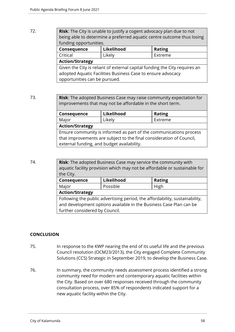# 72. **Risk**: The City is unable to justify a cogent advocacy plan due to not being able to determine a preferred aquatic centre outcome thus losing funding opportunities. **Consequence Likelihood Rating**

Critical Likely Extreme **Action/Strategy** Given the City is reliant of external capital funding the City requires an adopted Aquatic Facilities Business Case to ensure advocacy opportunities can be pursued.

73. **Risk**: The adopted Business Case may raise community expectation for improvements that may not be affordable in the short term.

| Consequence                                                          | Likelihood | <b>Rating</b> |  |  |
|----------------------------------------------------------------------|------------|---------------|--|--|
| Major                                                                | Likely     | Extreme       |  |  |
| <b>Action/Strategy</b>                                               |            |               |  |  |
| Ensure community is informed as part of the communications process   |            |               |  |  |
| that improvements are subject to the final consideration of Council, |            |               |  |  |
| external funding, and budget availability.                           |            |               |  |  |

74. **Risk**: The adopted Business Case may service the community with aquatic facility provision which may not be affordable or sustainable for the City.

| Consequence                                                                 | Likelihood       | <b>Rating</b> |  |  |
|-----------------------------------------------------------------------------|------------------|---------------|--|--|
| Major                                                                       | Possible<br>High |               |  |  |
| <b>Action/Strategy</b>                                                      |                  |               |  |  |
| Following the public advertising period, the affordability, sustainability, |                  |               |  |  |
| and development options available in the Business Case Plan can be          |                  |               |  |  |
| further considered by Council.                                              |                  |               |  |  |

# **CONCLUSION**

- 75. In response to the KWP nearing the end of its useful life and the previous Council resolution (OCM23/2013), the City engaged Complete Community Solutions (CCS) Strategic in September 2019, to develop the Business Case.
- 76. In summary, the community needs assessment process identified a strong community need for modern and contemporary aquatic facilities within the City. Based on over 680 responses received through the community consultation process, over 85% of respondents indicated support for a new aquatic facility within the City.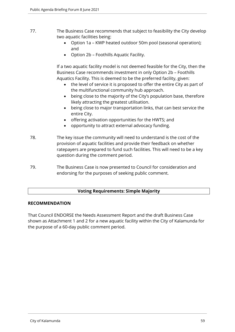- 77. The Business Case recommends that subject to feasibility the City develop two aquatic facilities being:
	- Option 1a KWP heated outdoor 50m pool (seasonal operation); and
	- Option 2b Foothills Aquatic Facility.

If a two aquatic facility model is not deemed feasible for the City, then the Business Case recommends investment in only Option 2b – Foothills Aquatics Facility. This is deemed to be the preferred facility, given:

- the level of service it is proposed to offer the entire City as part of the multifunctional community hub approach.
- being close to the majority of the City's population base, therefore likely attracting the greatest utilisation.
- being close to major transportation links, that can best service the entire City.
- offering activation opportunities for the HWTS; and
- opportunity to attract external advocacy funding.
- 78. The key issue the community will need to understand is the cost of the provision of aquatic facilities and provide their feedback on whether ratepayers are prepared to fund such facilities. This will need to be a key question during the comment period.
- 79. The Business Case is now presented to Council for consideration and endorsing for the purposes of seeking public comment.

# **Voting Requirements: Simple Majority**

# **RECOMMENDATION**

That Council ENDORSE the Needs Assessment Report and the draft Business Case shown as Attachment 1 and 2 for a new aquatic facility within the City of Kalamunda for the purpose of a 60-day public comment period.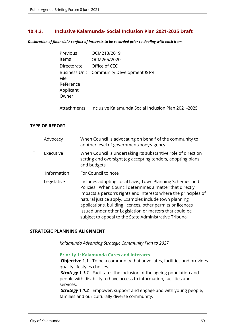# **10.4.2. Inclusive Kalamunda- Social Inclusion Plan 2021-2025 Draft**

*Declaration of financial / conflict of interests to be recorded prior to dealing with each item.*

| Previous                                | OCM213/2019                              |
|-----------------------------------------|------------------------------------------|
| Items                                   | OCM265/2020                              |
| Directorate                             | Office of CEO                            |
| File<br>Reference<br>Applicant<br>Owner | Business Unit Community Development & PR |

Attachments Inclusive Kalamunda Social Inclusion Plan 2021-2025

# **TYPE OF REPORT**

| Advocacy    | When Council is advocating on behalf of the community to<br>another level of government/body/agency                                                                                                                                                                                                                                                                                                                                |
|-------------|------------------------------------------------------------------------------------------------------------------------------------------------------------------------------------------------------------------------------------------------------------------------------------------------------------------------------------------------------------------------------------------------------------------------------------|
| Executive   | When Council is undertaking its substantive role of direction<br>setting and oversight (eg accepting tenders, adopting plans<br>and budgets                                                                                                                                                                                                                                                                                        |
| Information | For Council to note                                                                                                                                                                                                                                                                                                                                                                                                                |
| Legislative | Includes adopting Local Laws, Town Planning Schemes and<br>Policies. When Council determines a matter that directly<br>impacts a person's rights and interests where the principles of<br>natural justice apply. Examples include town planning<br>applications, building licences, other permits or licences<br>issued under other Legislation or matters that could be<br>subject to appeal to the State Administrative Tribunal |

## **STRATEGIC PLANNING ALIGNMENT**

*Kalamunda Advancing Strategic Community Plan to 2027*

#### **Priority 1: Kalamunda Cares and Interacts**

**Objective 1.1** - To be a community that advocates, facilities and provides quality lifestyles choices.

*Strategy 1.1.1* - Facilitates the inclusion of the ageing population and people with disability to have access to information, facilities and services.

*Strategy 1.1.2* - Empower, support and engage and with young people, families and our culturally diverse community.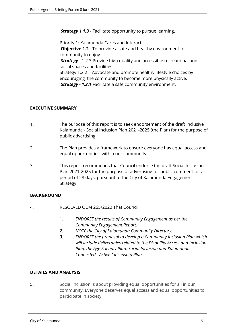*Strategy 1.1.3* - Facilitate opportunity to pursue learning.

Priority 1: Kalamunda Cares and Interacts **Objective 1.2** - To provide a safe and healthy environment for community to enjoy. *Strategy* - 1.2.3 Provide high quality and accessible recreational and social spaces and facilities. Strategy 1.2.2 - Advocate and promote healthy lifestyle choices by encouraging the community to become more physically active. *Strategy - 1.2.1* Facilitate a safe community environment.

# **EXECUTIVE SUMMARY**

- 1. The purpose of this report is to seek endorsement of the draft Inclusive Kalamunda - Social Inclusion Plan 2021-2025 (the Plan) for the purpose of public advertising.
- 2. The Plan provides a framework to ensure everyone has equal access and equal opportunities, within our community.
- 3. This report recommends that Council endorse the draft Social Inclusion Plan 2021-2025 for the purpose of advertising for public comment for a period of 28 days, pursuant to the City of Kalamunda Engagement Strategy.

# **BACKGROUND**

- 4. RESOLVED OCM 265/2020 That Council:
	- 1. *ENDORSE the results of Community Engagement as per the Community Engagement Report.*
	- *2. NOTE the City of Kalamunda Community Directory.*
	- *3. ENDORSE the proposal to develop a Community Inclusion Plan which will include deliverables related to the Disability Access and Inclusion Plan, the Age Friendly Plan, Social Inclusion and Kalamunda Connected - Active Citizenship Plan.*

#### **DETAILS AND ANALYSIS**

5. Social inclusion is about providing equal opportunities for all in our community. Everyone deserves equal access and equal opportunities to participate in society.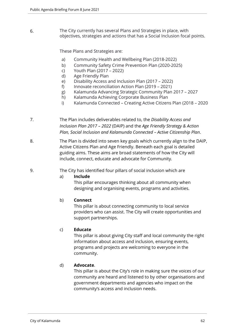6. The City currently has several Plans and Strategies in place, with objectives, strategies and actions that has a Social Inclusion focal points.

These Plans and Strategies are:

- a) Community Health and Wellbeing Plan (2018-2022)
- b) Community Safety Crime Prevention Plan (2020-2025)
- c) Youth Plan (2017 2022)
- d) Age Friendly Plan
- e) Disability Access and Inclusion Plan (2017 2022)
- f) Innovate reconciliation Action Plan (2019 2021)
- g) Kalamunda Advancing Strategic Community Plan 2017 2027
- h) Kalamunda Achieving Corporate Business Plan
- i) Kalamunda Connected Creating Active Citizens Plan (2018 2020
- 7. The Plan includes deliverables related to, the *Disability Access and Inclusion Plan 2017 – 2022* (DAIP) and the *Age Friendly Strategy & Action Plan, Social Inclusion and Kalamunda Connected – Active Citizenship Plan*.
- 8. The Plan is divided into seven key goals which currently align to the DAIP, Active Citizens Plan and Age Friendly. Beneath each goal is detailed guiding aims. These aims are broad statements of how the City will include, connect, educate and advocate for Community.
- 9. The City has identified four pillars of social inclusion which are

#### a) **Include**

This pillar encourages thinking about all community when designing and organising events, programs and activities.

# b) **Connect**

This pillar is about connecting community to local service providers who can assist. The City will create opportunities and support partnerships.

#### c) **Educate**

This pillar is about giving City staff and local community the right information about access and inclusion, ensuring events, programs and projects are welcoming to everyone in the community.

## d) **Advocate**.

This pillar is about the City's role in making sure the voices of our community are heard and listened to by other organisations and government departments and agencies who impact on the community's access and inclusion needs.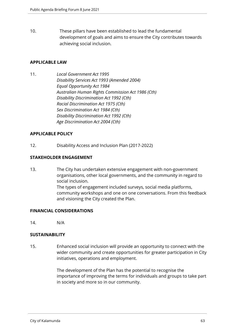10. These pillars have been established to lead the fundamental development of goals and aims to ensure the City contributes towards achieving social inclusion.

## **APPLICABLE LAW**

11. *Local Government Act 1995 Disability Services Act 1993 (Amended 2004) Equal Opportunity Act 1984 Australian Human Rights Commission Act 1986 (Cth) Disability Discrimination Act 1992 (Cth) Racial Discrimination Act 1975 (Cth) Sex Discrimination Act 1984 (Cth) Disability Discrimination Act 1992 (Cth) Age Discrimination Act 2004 (Cth)*

## **APPLICABLE POLICY**

12. Disability Access and Inclusion Plan (2017-2022)

## **STAKEHOLDER ENGAGEMENT**

13. The City has undertaken extensive engagement with non-government organisations, other local governments, and the community in regard to social inclusion. The types of engagement included surveys, social media platforms, community workshops and one on one conversations. From this feedback and visioning the City created the Plan.

# **FINANCIAL CONSIDERATIONS**

14. N/A

# **SUSTAINABILITY**

15. Enhanced social inclusion will provide an opportunity to connect with the wider community and create opportunities for greater participation in City initiatives, operations and employment.

> The development of the Plan has the potential to recognise the importance of improving the terms for individuals and groups to take part in society and more so in our community.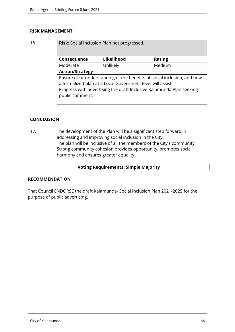#### **RISK MANAGEMENT**

16. **Risk**: Social Inclusion Plan not progressed.

| Consequence                                                                                                                                                                                                                      | Likelihood | <b>Rating</b> |
|----------------------------------------------------------------------------------------------------------------------------------------------------------------------------------------------------------------------------------|------------|---------------|
| Moderate                                                                                                                                                                                                                         | Unlikely   | Medium        |
| <b>Action/Strategy</b>                                                                                                                                                                                                           |            |               |
| Ensure clear understanding of the benefits of social inclusion, and how<br>a formalized plan at a Local Government level will assist.<br>Progress with advertising the draft Inclusive Kalamunda Plan seeking<br>public comment. |            |               |

## **CONCLUSION**

17. The development of the Plan will be a significant step forward in addressing and improving social inclusion in the City. The plan will be inclusive of all the members of the City's community. Strong community cohesion provides opportunity, promotes social harmony and ensures greater equality.

#### **Voting Requirements: Simple Majority**

#### **RECOMMENDATION**

That Council ENDORSE the draft Kalamunda- Social Inclusion Plan 2021-2025 for the purpose of public advertising.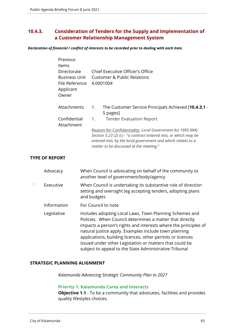# **10.4.3. Consideration of Tenders for the Supply and Implementation of a Customer Relationship Management System**

*Declaration of financial / conflict of interests to be recorded prior to dealing with each item.*

| Previous<br>ltems<br>Directorate<br><b>Business Unit</b><br>File Reference<br>Applicant<br>Owner | Chief Executive Officer's Office<br>Customer & Public Relations<br>4.0001004                                                                                                                                                              |
|--------------------------------------------------------------------------------------------------|-------------------------------------------------------------------------------------------------------------------------------------------------------------------------------------------------------------------------------------------|
| Attachments                                                                                      | The Customer Service Principals Achieved [10.4.3.1 -<br>1.<br>5 pages]                                                                                                                                                                    |
| Confidential<br>Attachment                                                                       | <b>Tender Evaluation Report</b><br>1.                                                                                                                                                                                                     |
|                                                                                                  | Reason for Confidentiality: Local Government Act 1995 (WA)<br>Section 5.23 (2) (c) - "a contract entered into, or which may be<br>entered into, by the local government and which relates to a<br>matter to be discussed at the meeting." |

# **TYPE OF REPORT**

|   | Advocacy    | When Council is advocating on behalf of the community to<br>another level of government/body/agency                                                                                                                                                                                                                                                                                                                                |
|---|-------------|------------------------------------------------------------------------------------------------------------------------------------------------------------------------------------------------------------------------------------------------------------------------------------------------------------------------------------------------------------------------------------------------------------------------------------|
| П | Executive   | When Council is undertaking its substantive role of direction<br>setting and oversight (eg accepting tenders, adopting plans<br>and budgets                                                                                                                                                                                                                                                                                        |
|   | Information | For Council to note                                                                                                                                                                                                                                                                                                                                                                                                                |
|   | Legislative | Includes adopting Local Laws, Town Planning Schemes and<br>Policies. When Council determines a matter that directly<br>impacts a person's rights and interests where the principles of<br>natural justice apply. Examples include town planning<br>applications, building licences, other permits or licences<br>issued under other Legislation or matters that could be<br>subject to appeal to the State Administrative Tribunal |

# **STRATEGIC PLANNING ALIGNMENT**

*Kalamunda Advancing Strategic Community Plan to 2027*

## **Priority 1: Kalamunda Cares and Interacts**

**Objective 1.1** - To be a community that advocates, facilities and provides quality lifestyles choices.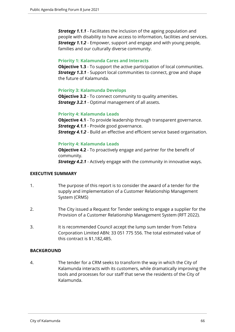*Strategy 1.1.1* - Facilitates the inclusion of the ageing population and people with disability to have access to information, facilities and services. *Strategy 1.1.2* - Empower, support and engage and with young people, families and our culturally diverse community.

#### **Priority 1: Kalamunda Cares and Interacts**

**Objective 1.3** - To support the active participation of local communities. *Strategy 1.3.1* - Support local communities to connect, grow and shape the future of Kalamunda.

# **Priority 3: Kalamunda Develops**

**Objective 3.2** - To connect community to quality amenities. *Strategy 3.2.1* - Optimal management of all assets.

## **Priority 4: Kalamunda Leads**

**Objective 4.1** - To provide leadership through transparent governance. **Strategy 4.1.1** - Provide good governance. **Strategy 4.1.2** - Build an effective and efficient service based organisation.

# **Priority 4: Kalamunda Leads**

**Objective 4.2** - To proactively engage and partner for the benefit of community.

*Strategy 4.2.1* - Actively engage with the community in innovative ways.

# **EXECUTIVE SUMMARY**

- 1. The purpose of this report is to consider the award of a tender for the supply and implementation of a Customer Relationship Management System (CRMS)
- 2. The City issued a Request for Tender seeking to engage a supplier for the Provision of a Customer Relationship Management System (RFT 2022).
- 3. It is recommended Council accept the lump sum tender from Telstra Corporation Limited ABN: 33 051 775 556. The total estimated value of this contract is \$1,182,485.

# **BACKGROUND**

4. The tender for a CRM seeks to transform the way in which the City of Kalamunda interacts with its customers, while dramatically improving the tools and processes for our staff that serve the residents of the City of Kalamunda.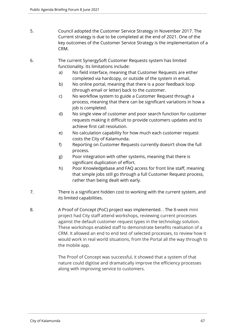- 5. Council adopted the Customer Service Strategy in November 2017. The Current strategy is due to be completed at the end of 2021. One of the key outcomes of the Customer Service Strategy is the implementation of a CRM.
- 6. The current SynergySoft Customer Requests system has limited functionality. Its limitations include:
	- a) No field interface, meaning that Customer Requests are either completed via hardcopy, or outside of the system in email.
	- b) No online portal, meaning that there is a poor feedback loop (through email or letter) back to the customer.
	- c) No workflow system to guide a Customer Request through a process, meaning that there can be significant variations in how a job is completed.
	- d) No single view of customer and poor search function for customer requests making it difficult to provide customers updates and to achieve first call resolution.
	- e) No calculation capability for how much each customer request costs the City of Kalamunda.
	- f) Reporting on Customer Requests currently doesn't show the full process.
	- g) Poor integration with other systems, meaning that there is significant duplication of effort.
	- h) Poor Knowledgebase and FAQ access for front line staff, meaning that simple jobs still go through a full Customer Request process, rather than being dealt with early.
- 7. There is a significant hidden cost to working with the current system, and its limited capabilities.
- 8. A Proof of Concept (PoC) project was implemented. . The 8-week mini project had City staff attend workshops, reviewing current processes against the default customer request types in the technology solution. These workshops enabled staff to demonstrate benefits realisation of a CRM. It allowed an end to end test of selected processes, to review how it would work in real world situations, from the Portal all the way through to the mobile app.

The Proof of Concept was successful, it showed that a system of that nature could digitise and dramatically improve the efficiency processes along with improving service to customers.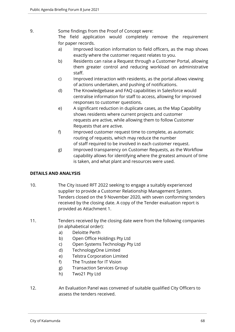- 9. Some findings from the Proof of Concept were: The field application would completely remove the requirement for paper records.
	- a) Improved location information to field officers, as the map shows exactly where the customer request relates to you.
	- b) Residents can raise a Request through a Customer Portal, allowing them greater control and reducing workload on administrative staff.
	- c) Improved interaction with residents, as the portal allows viewing of actions undertaken, and pushing of notifications.
	- d) The Knowledgebase and FAQ capabilities in Salesforce would centralise information for staff to access, allowing for improved responses to customer questions.
	- e) A significant reduction in duplicate cases, as the Map Capability shows residents where current projects and customer requests are active, while allowing them to follow Customer Requests that are active.
	- f) Improved customer request time to complete, as automatic routing of requests, which may reduce the number of staff required to be involved in each customer request.
	- g) Improved transparency on Customer Requests, as the Workflow capability allows for identifying where the greatest amount of time is taken, and what plant and resources were used.

# **DETAILS AND ANALYSIS**

- 10. The City issued RFT 2022 seeking to engage a suitably experienced supplier to provide a Customer Relationship Management System. Tenders closed on the 9 November 2020, with seven conforming tenders received by the closing date. A copy of the Tender evaluation report is provided as Attachment 1.
- 11. Tenders received by the closing date were from the following companies (in alphabetical order):
	- a) Deloitte Perth
	- b) Open Office Holdings Pty Ltd
	- c) Open Systems Technology Pty Ltd
	- d) TechnologyOne Limited
	- e) Telstra Corporation Limited
	- f) The Trustee for IT Vision
	- g) Transaction Services Group
	- h) Two21 Pty Ltd
- 12. An Evaluation Panel was convened of suitable qualified City Officers to assess the tenders received.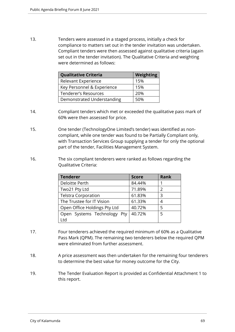13. Tenders were assessed in a staged process, initially a check for compliance to matters set out in the tender invitation was undertaken. Compliant tenders were then assessed against qualitative criteria (again set out in the tender invitation). The Qualitative Criteria and weighting were determined as follows:

| <b>Qualitative Criteria</b> | <b>Weighting</b> |
|-----------------------------|------------------|
| Relevant Experience         | 15%              |
| Key Personnel & Experience  | 15%              |
| <b>Tenderer's Resources</b> | 20%              |
| Demonstrated Understanding  | 50%              |

- 14. Compliant tenders which met or exceeded the qualitative pass mark of 60% were then assessed for price.
- 15. One tender (TechnologyOne Limited's tender) was identified as noncompliant, while one tender was found to be Partially Compliant only, with Transaction Services Group supplying a tender for only the optional part of the tender, Facilities Management System.
- 16. The six compliant tenderers were ranked as follows regarding the Qualitative Criteria:

| <b>Tenderer</b>              | <b>Score</b> | <b>Rank</b>   |
|------------------------------|--------------|---------------|
| Deloitte Perth               | 84.44%       |               |
| Two21 Pty Ltd                | 71.89%       | $\mathcal{P}$ |
| <b>Telstra Corporation</b>   | 61.83%       | ς             |
| The Trustee for IT Vision    | 61.33%       |               |
| Open Office Holdings Pty Ltd | 40.72%       | 5             |
| Open Systems Technology Pty  | 40.72%       | 5             |
| Ltd                          |              |               |

- 17. Four tenderers achieved the required minimum of 60% as a Qualitative Pass Mark (QPM). The remaining two tenderers below the required QPM were eliminated from further assessment.
- 18. A price assessment was then undertaken for the remaining four tenderers to determine the best value for money outcome for the City.
- 19. The Tender Evaluation Report is provided as Confidential Attachment 1 to this report.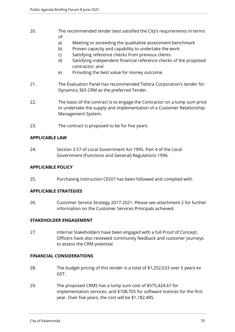- 20. The recommended tender best satisfied the City's requirements in terms of:
	- a) Meeting or exceeding the qualitative assessment benchmark
	- b) Proven capacity and capability to undertake the work
	- c) Satisfying reference checks from previous clients
	- d) Satisfying independent financial reference checks of the proposed contractor; and
	- e) Providing the best value for money outcome.
- 21. The Evaluation Panel has recommended Telstra Corporation's tender for Dynamics 365 CRM as the preferred Tender.
- 22. The basis of the contract is to engage the Contractor on a lump sum price to undertake the supply and implementation of a Customer Relationship Management System.
- 23. The contract is proposed to be for five years.

## **APPLICABLE LAW**

24. Section 3.57 of Local Government Act 1995. Part 4 of the Local Government (Functions and General) Regulations 1996.

#### **APPLICABLE POLICY**

25. Purchasing Instruction CEOI7 has been followed and complied with.

# **APPLICABLE STRATEGIES**

26. Customer Service Strategy 2017-2021. Please see attachment 2 for further information on the Customer Services Principals achieved.

# **STAKEHOLDER ENGAGEMENT**

27. Internal Stakeholders have been engaged with a full Proof of Concept. Officers have also reviewed community feedback and customer journeys to assess the CRM potential.

# **FINANCIAL CONSIDERATIONS**

- 28. The budget pricing of this tender is a total of \$1,252,633 over 5 years ex GST.
- 29. The proposed CRMS has a lump sum cost of \$575,424.67 for implementation services, and \$108,705 for software licences for the first year. Over five years, the cost will be \$1,182,485.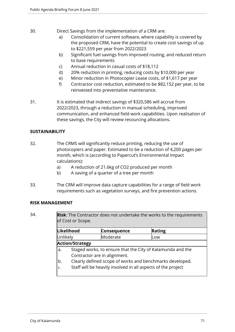- 30. Direct Savings from the implementation of a CRM are:
	- a) Consolidation of current software, where capability is covered by the proposed CRM, have the potential to create cost savings of up to \$221,559 per year from 2022/2023
	- b) Significant fuel savings from improved routing, and reduced return to base requirements
	- c) Annual reduction in casual costs of \$18,112
	- d) 20% reduction in printing, reducing costs by \$10,000 per year
	- e) Minor reduction in Photocopier Lease costs, of \$1,617 per year
	- f) Contractor cost reduction, estimated to be \$82,152 per year, to be reinvested into preventative maintenance.
- 31. It is estimated that indirect savings of \$320,586 will accrue from 2022/2023, through a reduction in manual scheduling, improved communication, and enhanced field work capabilities. Upon realisation of these savings, the City will review resourcing allocations.

# **SUSTAINABILITY**

- 32. The CRMS will significantly reduce printing, reducing the use of photocopiers and paper. Estimated to be a reduction of 4,200 pages per month, which is (according to Papercut's Environmental Impact calculations):
	- a) A reduction of 21.6kg of CO2 produced per month
	- b) A saving of a quarter of a tree per month
- 33. The CRM will improve data capture capabilities for a range of field work requirements such as vegetation surveys, and fire prevention actions.

# **RISK MANAGEMENT**

34. **Risk**: The Contractor does not undertake the works to the requirements of Cost or Scope.

| Likelihood |                                                              | Consequence | Rating |
|------------|--------------------------------------------------------------|-------------|--------|
|            | Moderate<br>Unlikely                                         |             | Low    |
|            | <b>Action/Strategy</b>                                       |             |        |
| a.         | Staged works, to ensure that the City of Kalamunda and the   |             |        |
|            | Contractor are in alignment.                                 |             |        |
| b.         | Clearly defined scope of works and benchmarks developed.     |             |        |
| c.         | Staff will be heavily involved in all aspects of the project |             |        |
|            |                                                              |             |        |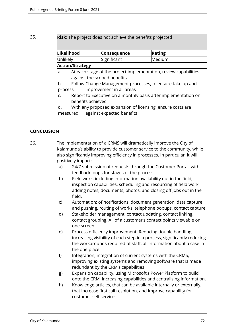35. **Risk**: The project does not achieve the benefits projected

| Likelihood                                                                                             |                                                                                                 | <b>Consequence</b> | Rating |
|--------------------------------------------------------------------------------------------------------|-------------------------------------------------------------------------------------------------|--------------------|--------|
| Unlikely                                                                                               |                                                                                                 | Significant        | Medium |
|                                                                                                        | <b>Action/Strategy</b>                                                                          |                    |        |
| a.                                                                                                     | At each stage of the project implementation, review capabilities<br>against the scoped benefits |                    |        |
| b.                                                                                                     | Follow Change Management processes, to ensure take up and                                       |                    |        |
|                                                                                                        | improvement in all areas<br>process                                                             |                    |        |
| Report to Executive on a monthly basis after implementation on<br>C.<br>benefits achieved              |                                                                                                 |                    |        |
| With any proposed expansion of licensing, ensure costs are<br>d.<br>measured against expected benefits |                                                                                                 |                    |        |

# **CONCLUSION**

36. The implementation of a CRMS will dramatically improve the City of Kalamunda's ability to provide customer service to the community, while also significantly improving efficiency in processes. In particular, it will positively impact:

- a) 24/7 submission of requests through the Customer Portal, with feedback loops for stages of the process.
- b) Field work, including information availability out in the field, inspection capabilities, scheduling and resourcing of field work, adding notes, documents, photos, and closing off jobs out in the field.
- c) Automation; of notifications, document generation, data capture and pushing, routing of works, telephone popups, contact capture.
- d) Stakeholder management; contact updating, contact linking, contact grouping. All of a customer's contact points viewable on one screen.
- e) Process efficiency improvement. Reducing double handling, increasing visibility of each step in a process, significantly reducing the workarounds required of staff, all information about a case in the one place.
- f) Integration; integration of current systems with the CRMS, improving existing systems and removing software that is made redundant by the CRM's capabilities.
- g) Expansion capability, using Microsoft's Power Platform to build onto the CRM, increasing capabilities and centralising information.
- h) Knowledge articles, that can be available internally or externally, that increase first call resolution, and improve capability for customer self service.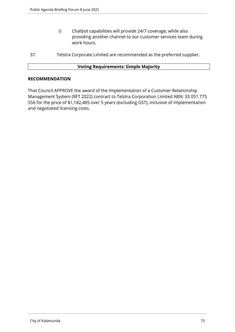- i) Chatbot capabilities will provide 24/7 coverage, while also providing another channel to our customer services team during work hours.
- 37. Telstra Corporate Limited are recommended as the preferred supplier.

## **Voting Requirements: Simple Majority**

#### **RECOMMENDATION**

That Council APPROVE the award of the Implementation of a Customer Relationship Management System (RFT 2022) contract to Telstra Corporation Limited ABN: 33 051 775 556 for the price of \$1,182,485 over 5 years (excluding GST), inclusive of implementation and negotiated licensing costs.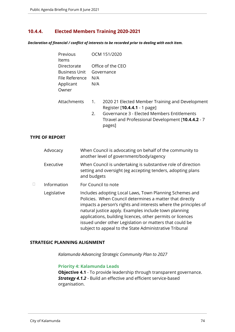# **10.4.4. Elected Members Training 2020-2021**

*Declaration of financial / conflict of interests to be recorded prior to dealing with each item.*

| Previous<br><b>Items</b>                                                    | OCM 151/2020 |                                                                                                                                                                                                |  |  |
|-----------------------------------------------------------------------------|--------------|------------------------------------------------------------------------------------------------------------------------------------------------------------------------------------------------|--|--|
| Directorate<br><b>Business Unit</b><br>File Reference<br>Applicant<br>Owner | N/A<br>N/A   | Office of the CEO<br>Governance                                                                                                                                                                |  |  |
| Attachments                                                                 | 1.<br>2.     | 2020 21 Elected Member Training and Development<br>Register [10.4.4.1 - 1 page]<br>Governance 3 - Elected Members Entitlements<br>Ttravel and Professional Development [10.4.4.2 - 7<br>pages] |  |  |

#### **TYPE OF REPORT**

|   | Advocacy    | When Council is advocating on behalf of the community to<br>another level of government/body/agency                                                                                                                                                                                                                                                                                                                                |
|---|-------------|------------------------------------------------------------------------------------------------------------------------------------------------------------------------------------------------------------------------------------------------------------------------------------------------------------------------------------------------------------------------------------------------------------------------------------|
|   | Executive   | When Council is undertaking is substantive role of direction<br>setting and oversight (eg accepting tenders, adopting plans<br>and budgets                                                                                                                                                                                                                                                                                         |
| П | Information | For Council to note                                                                                                                                                                                                                                                                                                                                                                                                                |
|   | Legislative | Includes adopting Local Laws, Town Planning Schemes and<br>Policies. When Council determines a matter that directly<br>impacts a person's rights and interests where the principles of<br>natural justice apply. Examples include town planning<br>applications, building licences, other permits or licences<br>issued under other Legislation or matters that could be<br>subject to appeal to the State Administrative Tribunal |

#### **STRATEGIC PLANNING ALIGNMENT**

*Kalamunda Advancing Strategic Community Plan to 2027*

## **Priority 4: Kalamunda Leads**

**Objective 4.1** - To provide leadership through transparent governance. **Strategy 4.1.2** - Build an effective and efficient service-based organisation.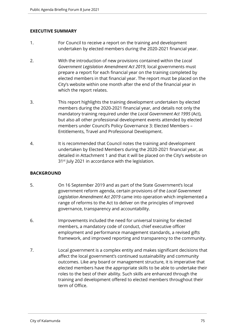## **EXECUTIVE SUMMARY**

- 1. For Council to receive a report on the training and development undertaken by elected members during the 2020-2021 financial year.
- 2. With the introduction of new provisions contained within the *Local Government Legislation Amendment Act 2019*, local governments must prepare a report for each financial year on the training completed by elected members in that financial year. The report must be placed on the City's website within one month after the end of the financial year in which the report relates.
- 3. This report highlights the training development undertaken by elected members during the 2020-2021 financial year, and details not only the mandatory training required under the *Local Government Act 1995* (Act), but also all other professional development events attended by elected members under Council's Policy Governance 3: Elected Members – Entitlements, Travel and Professional Development.
- 4. It is recommended that Council notes the training and development undertaken by Elected Members during the 2020-2021 financial year, as detailed in Attachment 1 and that it will be placed on the City's website on 31<sup>st</sup> July 2021 in accordance with the legislation.

## **BACKGROUND**

- 5. On 16 September 2019 and as part of the State Government's local government reform agenda, certain provisions of the *Local Government Legislation Amendment Act 2019* came into operation which implemented a range of reforms to the Act to deliver on the principles of improved governance, transparency and accountability.
- 6. Improvements included the need for universal training for elected members, a mandatory code of conduct, chief executive officer employment and performance management standards, a revised gifts framework, and improved reporting and transparency to the community.
- 7. Local government is a complex entity and makes significant decisions that affect the local government's continued sustainability and community outcomes. Like any board or management structure, it is imperative that elected members have the appropriate skills to be able to undertake their roles to the best of their ability. Such skills are enhanced through the training and development offered to elected members throughout their term of Office.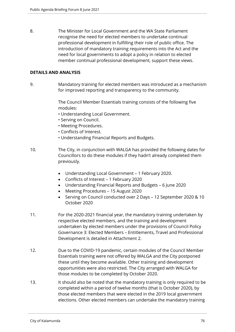8. The Minister for Local Government and the WA State Parliament recognise the need for elected members to undertake continual professional development in fulfilling their role of public office. The introduction of mandatory training requirements into the Act and the need for local governments to adopt a policy in relation to elected member continual professional development, support these views.

## **DETAILS AND ANALYSIS**

9. Mandatory training for elected members was introduced as a mechanism for improved reporting and transparency to the community.

> The Council Member Essentials training consists of the following five modules:

- Understanding Local Government.
- Serving on Council.
- Meeting Procedures.
- Conflicts of Interest.
- Understanding Financial Reports and Budgets.
- 10. The City, in conjunction with WALGA has provided the following dates for Councillors to do these modules if they hadn't already completed them previously.
	- Understanding Local Government 1 February 2020.
	- Conflicts of Interest 1 February 2020
	- Understanding Financial Reports and Budgets 6 June 2020
	- Meeting Procedures 15 August 2020
	- Serving on Council conducted over 2 Days 12 September 2020 & 10 October 2020
- 11. For the 2020-2021 financial year, the mandatory training undertaken by respective elected members, and the training and development undertaken by elected members under the provisions of Council Policy Governance 3: Elected Members – Entitlements, Travel and Professional Development is detailed in Attachment 2.
- 12. Due to the COVID-19 pandemic, certain modules of the Council Member Essentials training were not offered by WALGA and the City postponed these until they become available. Other training and development opportunities were also restricted. The City arranged with WALGA for those modules to be completed by October 2020.
- 13. It should also be noted that the mandatory training is only required to be completed within a period of twelve months (that is October 2020), by those elected members that were elected in the 2019 local government elections. Other elected members can undertake the mandatory training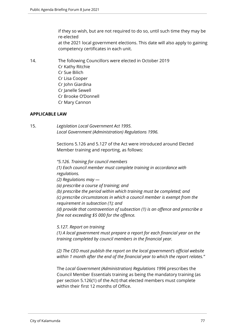if they so wish, but are not required to do so, until such time they may be re-elected at the 2021 local government elections. This date will also apply to gaining competency certificates in each unit.

14. The following Councillors were elected in October 2019 Cr Kathy Ritchie Cr Sue Bilich Cr Lisa Cooper Cr John Giardina Cr Janelle Sewell Cr Brooke O'Donnell Cr Mary Cannon

#### **APPLICABLE LAW**

15. *Legislation Local Government Act 1995. Local Government (Administration) Regulations 1996.* 

> Sections 5.126 and 5.127 of the Act were introduced around Elected Member training and reporting, as follows:

*"5.126. Training for council members*

*(1) Each council member must complete training in accordance with regulations.*

*(2) Regulations may —*

*(a) prescribe a course of training; and*

*(b) prescribe the period within which training must be completed; and (c) prescribe circumstances in which a council member is exempt from the requirement in subsection (1); and*

*(d) provide that contravention of subsection (1) is an offence and prescribe a fine not exceeding \$5 000 for the offence.*

*5.127. Report on training*

*(1) A local government must prepare a report for each financial year on the training completed by council members in the financial year.*

*(2) The CEO must publish the report on the local government's official website within 1 month after the end of the financial year to which the report relates."*

The *Local Government (Administration) Regulations 1996* prescribes the Council Member Essentials training as being the mandatory training (as per section 5.126(1) of the Act) that elected members must complete within their first 12 months of Office.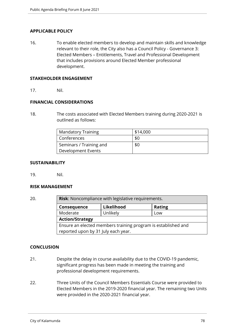## **APPLICABLE POLICY**

16. To enable elected members to develop and maintain skills and knowledge relevant to their role, the City also has a Council Policy - Governance 3: Elected Members – Entitlements, Travel and Professional Development that includes provisions around Elected Member professional development.

#### **STAKEHOLDER ENGAGEMENT**

17. Nil.

#### **FINANCIAL CONSIDERATIONS**

18. The costs associated with Elected Members training during 2020-2021 is outlined as follows:

| <b>Mandatory Training</b>      | \$14,000 |
|--------------------------------|----------|
| Conferences                    | \$0      |
| <b>Seminars / Training and</b> | \$0      |
| Development Events             |          |

#### **SUSTAINABILITY**

19. Nil.

#### **RISK MANAGEMENT**

| 20. | <b>Risk:</b> Noncompliance with legislative requirements.     |            |               |  |  |  |  |
|-----|---------------------------------------------------------------|------------|---------------|--|--|--|--|
|     | Consequence                                                   | Likelihood | <b>Rating</b> |  |  |  |  |
|     | Moderate                                                      | Unlikely   | Low           |  |  |  |  |
|     | <b>Action/Strategy</b>                                        |            |               |  |  |  |  |
|     | Ensure an elected members training program is established and |            |               |  |  |  |  |
|     | reported upon by 31 July each year.                           |            |               |  |  |  |  |

#### **CONCLUSION**

- 21. Despite the delay in course availability due to the COVID-19 pandemic, significant progress has been made in meeting the training and professional development requirements.
- 22. Three Units of the Council Members Essentials Course were provided to Elected Members in the 2019-2020 financial year. The remaining two Units were provided in the 2020-2021 financial year.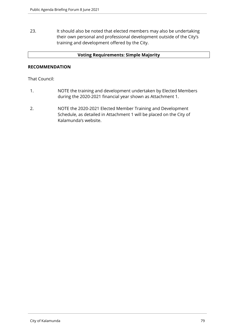23. It should also be noted that elected members may also be undertaking their own personal and professional development outside of the City's training and development offered by the City.

## **Voting Requirements: Simple Majority**

#### **RECOMMENDATION**

That Council:

- 1. NOTE the training and development undertaken by Elected Members during the 2020-2021 financial year shown as Attachment 1.
- 2. NOTE the 2020-2021 Elected Member Training and Development Schedule, as detailed in Attachment 1 will be placed on the City of Kalamunda's website.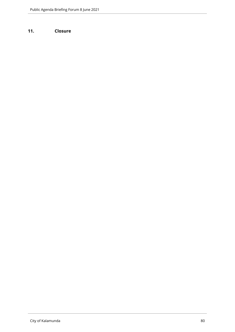# **11. Closure**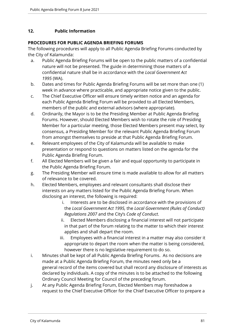# **12. Public Information**

## **PROCEDURES FOR PUBLIC AGENDA BRIEFING FORUMS**

The following procedures will apply to all Public Agenda Briefing Forums conducted by the City of Kalamunda:

- a. Public Agenda Briefing Forums will be open to the public matters of a confidential nature will not be presented. The guide in determining those matters of a confidential nature shall be in accordance with the *Local Government Act 1995* (WA).
- b. Dates and times for Public Agenda Briefing Forums will be set more than one (1) week in advance where practicable, and appropriate notice given to the public.
- c. The Chief Executive Officer will ensure timely written notice and an agenda for each Public Agenda Briefing Forum will be provided to all Elected Members, members of the public and external advisors (where appropriate).
- d. Ordinarily, the Mayor is to be the Presiding Member at Public Agenda Briefing Forums. However, should Elected Members wish to rotate the role of Presiding Member for a particular meeting, those Elected Members present may select, by consensus, a Presiding Member for the relevant Public Agenda Briefing Forum from amongst themselves to preside at that Public Agenda Briefing Forum.
- e. Relevant employees of the City of Kalamunda will be available to make presentation or respond to questions on matters listed on the agenda for the Public Agenda Briefing Forum.
- f. All Elected Members will be given a fair and equal opportunity to participate in the Public Agenda Briefing Forum.
- g. The Presiding Member will ensure time is made available to allow for all matters of relevance to be covered.
- h. Elected Members, employees and relevant consultants shall disclose their interests on any matters listed for the Public Agenda Briefing Forum. When disclosing an interest, the following is required:
	- i. Interests are to be disclosed in accordance with the provisions of the *Local Government Act 1995,* the *Local Government (Rules of Conduct) Regulations 2007* and the City's *Code of Conduct*.
	- ii. Elected Members disclosing a financial interest will not participate in that part of the forum relating to the matter to which their interest applies and shall depart the room.
	- iii. Employees with a financial interest in a matter may also consider it appropriate to depart the room when the matter is being considered, however there is no legislative requirement to do so.
- i. Minutes shall be kept of all Public Agenda Briefing Forums. As no decisions are made at a Public Agenda Briefing Forum, the minutes need only be a general record of the items covered but shall record any disclosure of interests as declared by individuals. A copy of the minutes is to be attached to the following Ordinary Council Meeting for Council of the preceding forum.
- j. At any Public Agenda Briefing Forum, Elected Members may foreshadow a request to the Chief Executive Officer for the Chief Executive Officer to prepare a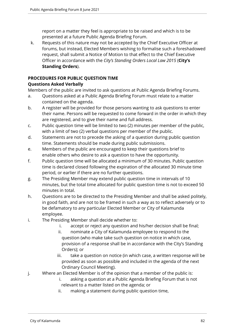report on a matter they feel is appropriate to be raised and which is to be presented at a future Public Agenda Briefing Forum.

k. Requests of this nature may not be accepted by the Chief Executive Officer at forums, but instead, Elected Members wishing to formalise such a foreshadowed request, shall submit a Notice of Motion to that effect to the Chief Executive Officer in accordance with the *City's Standing Orders Local Law 2015* (**City's Standing Orders**).

# **PROCEDURES FOR PUBLIC QUESTION TIME**

# **Questions Asked Verbally**

Members of the public are invited to ask questions at Public Agenda Briefing Forums.

- a. Questions asked at a Public Agenda Briefing Forum must relate to a matter contained on the agenda.
- b. A register will be provided for those persons wanting to ask questions to enter their name. Persons will be requested to come forward in the order in which they are registered, and to give their name and full address.
- c. Public question time will be limited to two (2) minutes per member of the public, with a limit of two (2) verbal questions per member of the public.
- d. Statements are not to precede the asking of a question during public question time. Statements should be made during public submissions.
- e. Members of the public are encouraged to keep their questions brief to enable others who desire to ask a question to have the opportunity.
- f. Public question time will be allocated a minimum of 30 minutes. Public question time is declared closed following the expiration of the allocated 30 minute time period, or earlier if there are no further questions.
- g. The Presiding Member may extend public question time in intervals of 10 minutes, but the total time allocated for public question time is not to exceed 50 minutes in total.
- h. Questions are to be directed to the Presiding Member and shall be asked politely, in good faith, and are not to be framed in such a way as to reflect adversely or to be defamatory to any particular Elected Member or City of Kalamunda employee.
- i. The Presiding Member shall decide whether to:
	- i. accept or reject any question and his/her decision shall be final;
	- ii. nominate a City of Kalamunda employee to respond to the question (who make take such question on notice in which case, provision of a response shall be in accordance with the City's Standing Orders); or
	- iii. take a question on notice (in which case, a written response will be provided as soon as possible and included in the agenda of the next Ordinary Council Meeting).
- j. Where an Elected Member is of the opinion that a member of the public is:
	- i. asking a question at a Public Agenda Briefing Forum that is not relevant to a matter listed on the agenda; or
	- ii. making a statement during public question time,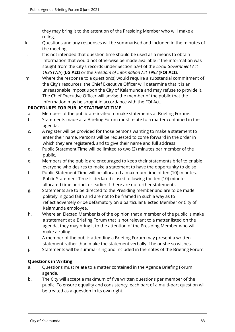they may bring it to the attention of the Presiding Member who will make a ruling.

- k. Questions and any responses will be summarised and included in the minutes of the meeting.
- l. It is not intended that question time should be used as a means to obtain information that would not otherwise be made available if the information was sought from the City's records under Section 5.94 of the *Local Government Act 1995* (WA) (**LG Act**) or the *Freedom of Information Act 1992* (**FOI Act**).
- m. Where the response to a question(s) would require a substantial commitment of the City's resources, the Chief Executive Officer will determine that it is an unreasonable impost upon the City of Kalamunda and may refuse to provide it. The Chief Executive Officer will advise the member of the public that the information may be sought in accordance with the FOI Act.

# **PROCEDURES FOR PUBLIC STATEMENT TIME**

- a. Members of the public are invited to make statements at Briefing Forums.
- b. Statements made at a Briefing Forum must relate to a matter contained in the agenda.
- c. A register will be provided for those persons wanting to make a statement to enter their name. Persons will be requested to come forward in the order in which they are registered, and to give their name and full address.
- d. Public Statement Time will be limited to two (2) minutes per member of the public.
- e. Members of the public are encouraged to keep their statements brief to enable everyone who desires to make a statement to have the opportunity to do so.
- f. Public Statement Time will be allocated a maximum time of ten (10) minutes. Public Statement Time Is declared closed following the ten (10) minute allocated time period, or earlier if there are no further statements.
- g. Statements are to be directed to the Presiding member and are to be made politely in good faith and are not to be framed in such a way as to reflect adversely or be defamatory on a particular Elected Member or City of Kalamunda employee.
- h. Where an Elected Member is of the opinion that a member of the public is make a statement at a Briefing Forum that is not relevant to a matter listed on the agenda, they may bring it to the attention of the Presiding Member who will make a ruling.
- i. A member of the public attending a Briefing Forum may present a written statement rather than make the statement verbally if he or she so wishes.
- j. Statements will be summarising and included in the notes of the Briefing Forum.

# **Questions in Writing**

- a. Questions must relate to a matter contained in the Agenda Briefing Forum agenda.
- b. The City will accept a maximum of five written questions per member of the public. To ensure equality and consistency, each part of a multi-part question will be treated as a question in its own right.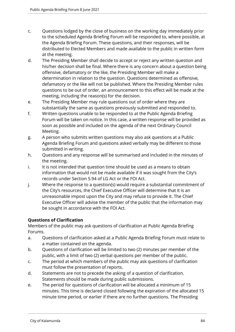- c. Questions lodged by the close of business on the working day immediately prior to the scheduled Agenda Briefing Forum will be responded to, where possible, at the Agenda Briefing Forum. These questions, and their responses, will be distributed to Elected Members and made available to the public in written form at the meeting.
- d. The Presiding Member shall decide to accept or reject any written question and his/her decision shall be final. Where there is any concern about a question being offensive, defamatory or the like, the Presiding Member will make a determination in relation to the question. Questions determined as offensive, defamatory or the like will not be published. Where the Presiding Member rules questions to be out of order, an announcement to this effect will be made at the meeting, including the reason(s) for the decision.
- e. The Presiding Member may rule questions out of order where they are substantially the same as questions previously submitted and responded to.
- f. Written questions unable to be responded to at the Public Agenda Briefing Forum will be taken on notice. In this case, a written response will be provided as soon as possible and included on the agenda of the next Ordinary Council Meeting.
- g. A person who submits written questions may also ask questions at a Public Agenda Briefing Forum and questions asked verbally may be different to those submitted in writing.
- h. Questions and any response will be summarised and included in the minutes of the meeting.
- i. It is not intended that question time should be used as a means to obtain information that would not be made available if it was sought from the City's records under Section 5.94 of LG Act or the FOI Act.
- j. Where the response to a question(s) would require a substantial commitment of the City's resources, the Chief Executive Officer will determine that it is an unreasonable impost upon the City and may refuse to provide it. The Chief Executive Officer will advise the member of the public that the information may be sought in accordance with the FOI Act.

# **Questions of Clarification**

Members of the public may ask questions of clarification at Public Agenda Briefing Forums.

- a. Questions of clarification asked at a Public Agenda Briefing Forum must relate to a matter contained on the agenda.
- b. Questions of clarification will be limited to two (2) minutes per member of the public, with a limit of two (2) verbal questions per member of the public.
- c. The period at which members of the public may ask questions of clarification must follow the presentation of reports.
- d. Statements are not to precede the asking of a question of clarification. Statements should be made during public submissions.
- e. The period for questions of clarification will be allocated a minimum of 15 minutes. This time is declared closed following the expiration of the allocated 15 minute time period, or earlier if there are no further questions. The Presiding